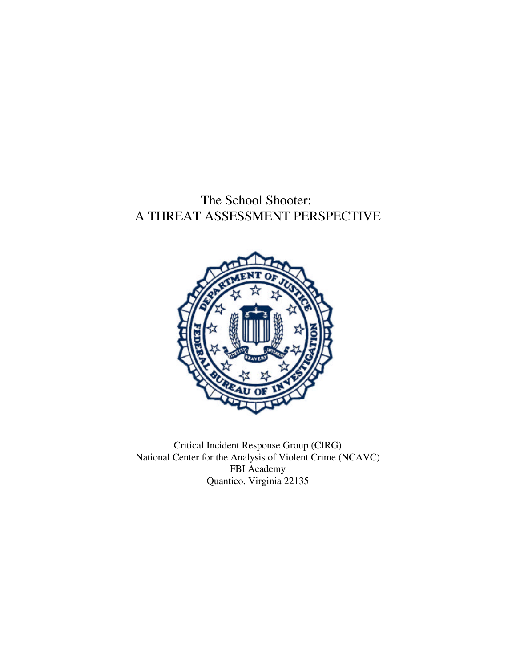# The School Shooter: A THREAT ASSESSMENT PERSPECTIVE



Critical Incident Response Group (CIRG) National Center for the Analysis of Violent Crime (NCAVC) FBI Academy Quantico, Virginia 22135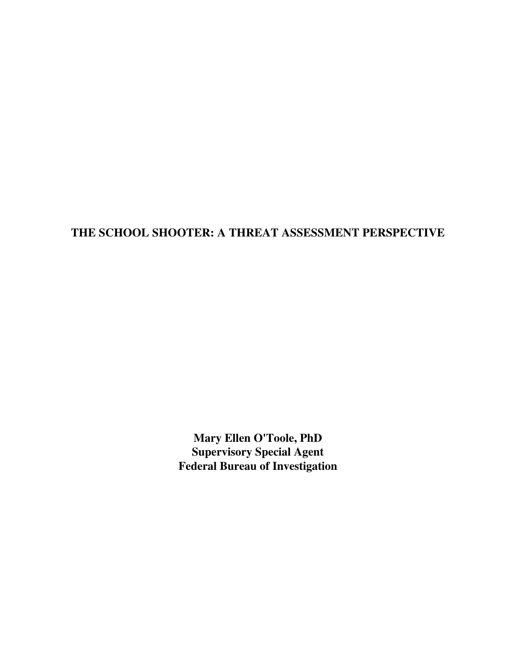# **THE SCHOOL SHOOTER: A THREAT ASSESSMENT PERSPECTIVE**

**Mary Ellen O'Toole, PhD Supervisory Special Agent Federal Bureau of Investigation**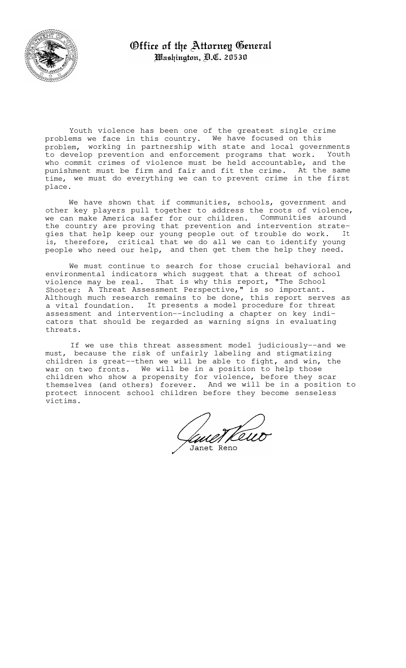

Office of the Attorney General Washington, A.C. 20530

Youth violence has been one of the greatest single crime problems we face in this country. We have focused on this problem, working in partnership with state and local governments to develop prevention and enforcement programs that work. Youth who commit crimes of violence must be held accountable, and the punishment must be firm and fair and fit the crime. At the same time, we must do everything we can to prevent crime in the first place.

We have shown that if communities, schools, government and other key players pull together to address the roots of violence, we can make America safer for our children. Communities around the country are proving that prevention and intervention strategies that help keep our young people out of trouble do work. It is, therefore, critical that we do all we can to identify young people who need our help, and then get them the help they need.

We must continue to search for those crucial behavioral and environmental indicators which suggest that a threat of school violence may be real. That is why this report, "The School Shooter: A Threat Assessment Perspective," is so important. Although much research remains to be done, this report serves as a vital foundation. It presents a model procedure for threat assessment and intervention--including a chapter on key indicators that should be regarded as warning signs in evaluating threats.

If we use this threat assessment model judiciously--and we must, because the risk of unfairly labeling and stigmatizing children is great--then we will be able to fight, and win, the war on two fronts. We will be in a position to help those children who show a propensity for violence, before they scar themselves (and others) forever. And we will be in a position to protect innocent school children before they become senseless victims.

Janet Reno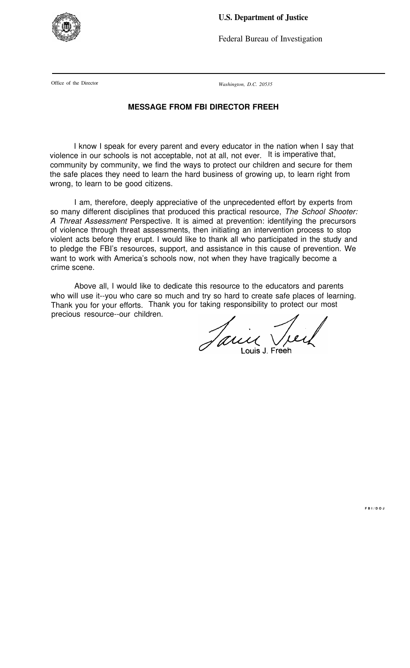

Federal Bureau of Investigation

Office of the Director *Washington, D.C. 20535*

## **MESSAGE FROM FBI DIRECTOR FREEH**

I know I speak for every parent and every educator in the nation when I say that violence in our schools is not acceptable, not at all, not ever. It is imperative that, community by community, we find the ways to protect our children and secure for them the safe places they need to learn the hard business of growing up, to learn right from wrong, to learn to be good citizens.

I am, therefore, deeply appreciative of the unprecedented effort by experts from so many different disciplines that produced this practical resource, *The School Shooter: A Threat Assessment* Perspective. It is aimed at prevention: identifying the precursors of violence through threat assessments, then initiating an intervention process to stop violent acts before they erupt. I would like to thank all who participated in the study and to pledge the FBI's resources, support, and assistance in this cause of prevention. We want to work with America's schools now, not when they have tragically become a crime scene.

Above all, I would like to dedicate this resource to the educators and parents who will use it--you who care so much and try so hard to create safe places of learning. Thank you for your efforts. Thank you for taking responsibility to protect our most precious resource--our children.

Jain ouis J Freeh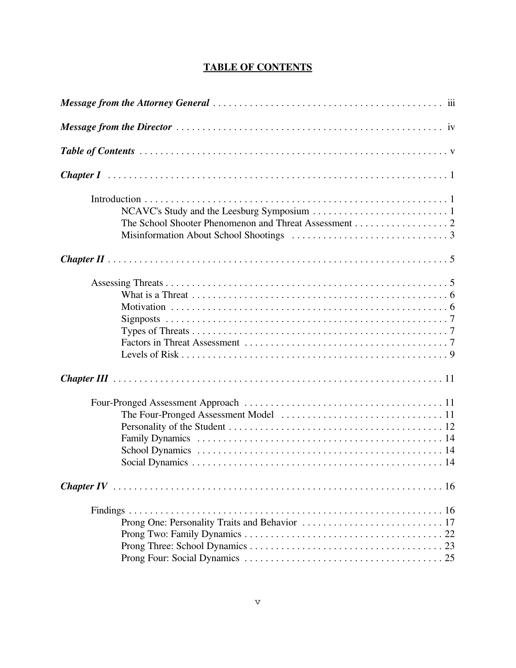## **TABLE OF CONTENTS**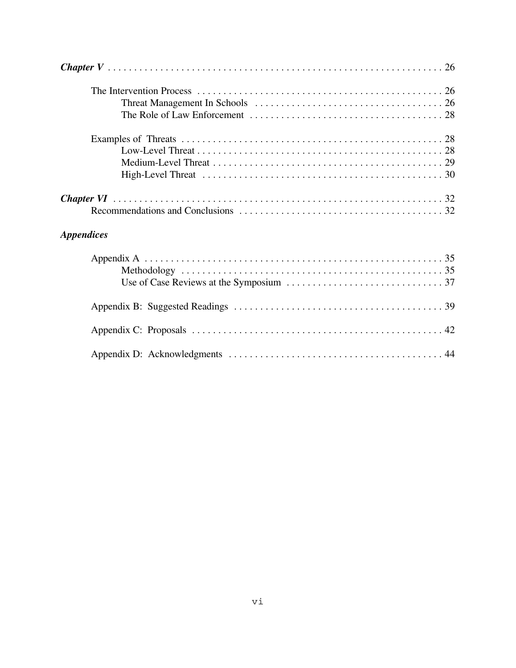| High-Level Threat $\dots\dots\dots\dots\dots\dots\dots\dots\dots\dots\dots\dots\dots\dots\dots$ |
|-------------------------------------------------------------------------------------------------|
|                                                                                                 |
| <i><b>Appendices</b></i>                                                                        |
|                                                                                                 |
|                                                                                                 |
|                                                                                                 |
|                                                                                                 |
|                                                                                                 |
|                                                                                                 |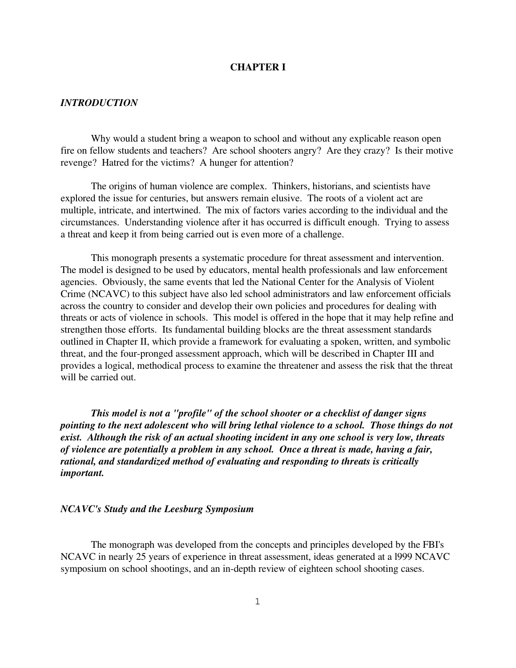#### **CHAPTER I**

#### *INTRODUCTION*

Why would a student bring a weapon to school and without any explicable reason open fire on fellow students and teachers? Are school shooters angry? Are they crazy? Is their motive revenge? Hatred for the victims? A hunger for attention?

The origins of human violence are complex. Thinkers, historians, and scientists have explored the issue for centuries, but answers remain elusive. The roots of a violent act are multiple, intricate, and intertwined. The mix of factors varies according to the individual and the circumstances. Understanding violence after it has occurred is difficult enough. Trying to assess a threat and keep it from being carried out is even more of a challenge.

This monograph presents a systematic procedure for threat assessment and intervention. The model is designed to be used by educators, mental health professionals and law enforcement agencies. Obviously, the same events that led the National Center for the Analysis of Violent Crime (NCAVC) to this subject have also led school administrators and law enforcement officials across the country to consider and develop their own policies and procedures for dealing with threats or acts of violence in schools. This model is offered in the hope that it may help refine and strengthen those efforts. Its fundamental building blocks are the threat assessment standards outlined in Chapter II, which provide a framework for evaluating a spoken, written, and symbolic threat, and the four-pronged assessment approach, which will be described in Chapter III and provides a logical, methodical process to examine the threatener and assess the risk that the threat will be carried out.

*This model is not a "profile" of the school shooter or a checklist of danger signs pointing to the next adolescent who will bring lethal violence to a school. Those things do not exist. Although the risk of an actual shooting incident in any one school is very low, threats of violence are potentially a problem in any school. Once a threat is made, having a fair, rational, and standardized method of evaluating and responding to threats is critically important.*

#### *NCAVC's Study and the Leesburg Symposium*

The monograph was developed from the concepts and principles developed by the FBI's NCAVC in nearly 25 years of experience in threat assessment, ideas generated at a l999 NCAVC symposium on school shootings, and an in-depth review of eighteen school shooting cases.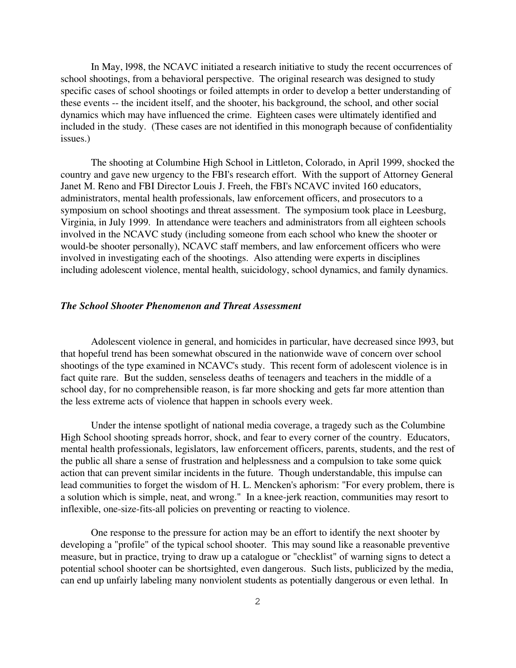In May, l998, the NCAVC initiated a research initiative to study the recent occurrences of school shootings, from a behavioral perspective. The original research was designed to study specific cases of school shootings or foiled attempts in order to develop a better understanding of these events -- the incident itself, and the shooter, his background, the school, and other social dynamics which may have influenced the crime. Eighteen cases were ultimately identified and included in the study. (These cases are not identified in this monograph because of confidentiality issues.)

The shooting at Columbine High School in Littleton, Colorado, in April 1999, shocked the country and gave new urgency to the FBI's research effort. With the support of Attorney General Janet M. Reno and FBI Director Louis J. Freeh, the FBI's NCAVC invited 160 educators, administrators, mental health professionals, law enforcement officers, and prosecutors to a symposium on school shootings and threat assessment. The symposium took place in Leesburg, Virginia, in July 1999. In attendance were teachers and administrators from all eighteen schools involved in the NCAVC study (including someone from each school who knew the shooter or would-be shooter personally), NCAVC staff members, and law enforcement officers who were involved in investigating each of the shootings. Also attending were experts in disciplines including adolescent violence, mental health, suicidology, school dynamics, and family dynamics.

### *The School Shooter Phenomenon and Threat Assessment*

Adolescent violence in general, and homicides in particular, have decreased since l993, but that hopeful trend has been somewhat obscured in the nationwide wave of concern over school shootings of the type examined in NCAVC's study. This recent form of adolescent violence is in fact quite rare. But the sudden, senseless deaths of teenagers and teachers in the middle of a school day, for no comprehensible reason, is far more shocking and gets far more attention than the less extreme acts of violence that happen in schools every week.

Under the intense spotlight of national media coverage, a tragedy such as the Columbine High School shooting spreads horror, shock, and fear to every corner of the country. Educators, mental health professionals, legislators, law enforcement officers, parents, students, and the rest of the public all share a sense of frustration and helplessness and a compulsion to take some quick action that can prevent similar incidents in the future. Though understandable, this impulse can lead communities to forget the wisdom of H. L. Mencken's aphorism: "For every problem, there is a solution which is simple, neat, and wrong." In a knee-jerk reaction, communities may resort to inflexible, one-size-fits-all policies on preventing or reacting to violence.

One response to the pressure for action may be an effort to identify the next shooter by developing a "profile" of the typical school shooter. This may sound like a reasonable preventive measure, but in practice, trying to draw up a catalogue or "checklist" of warning signs to detect a potential school shooter can be shortsighted, even dangerous. Such lists, publicized by the media, can end up unfairly labeling many nonviolent students as potentially dangerous or even lethal. In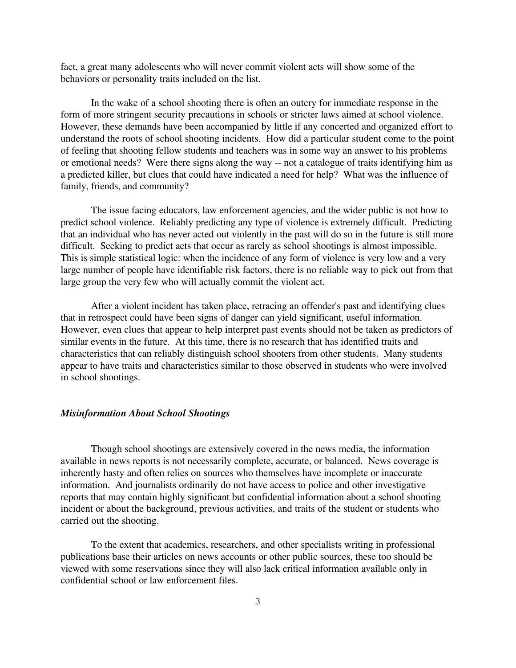fact, a great many adolescents who will never commit violent acts will show some of the behaviors or personality traits included on the list.

In the wake of a school shooting there is often an outcry for immediate response in the form of more stringent security precautions in schools or stricter laws aimed at school violence. However, these demands have been accompanied by little if any concerted and organized effort to understand the roots of school shooting incidents. How did a particular student come to the point of feeling that shooting fellow students and teachers was in some way an answer to his problems or emotional needs? Were there signs along the way -- not a catalogue of traits identifying him as a predicted killer, but clues that could have indicated a need for help? What was the influence of family, friends, and community?

The issue facing educators, law enforcement agencies, and the wider public is not how to predict school violence. Reliably predicting any type of violence is extremely difficult. Predicting that an individual who has never acted out violently in the past will do so in the future is still more difficult. Seeking to predict acts that occur as rarely as school shootings is almost impossible. This is simple statistical logic: when the incidence of any form of violence is very low and a very large number of people have identifiable risk factors, there is no reliable way to pick out from that large group the very few who will actually commit the violent act.

After a violent incident has taken place, retracing an offender's past and identifying clues that in retrospect could have been signs of danger can yield significant, useful information. However, even clues that appear to help interpret past events should not be taken as predictors of similar events in the future. At this time, there is no research that has identified traits and characteristics that can reliably distinguish school shooters from other students. Many students appear to have traits and characteristics similar to those observed in students who were involved in school shootings.

#### *Misinformation About School Shootings*

Though school shootings are extensively covered in the news media, the information available in news reports is not necessarily complete, accurate, or balanced. News coverage is inherently hasty and often relies on sources who themselves have incomplete or inaccurate information. And journalists ordinarily do not have access to police and other investigative reports that may contain highly significant but confidential information about a school shooting incident or about the background, previous activities, and traits of the student or students who carried out the shooting.

To the extent that academics, researchers, and other specialists writing in professional publications base their articles on news accounts or other public sources, these too should be viewed with some reservations since they will also lack critical information available only in confidential school or law enforcement files.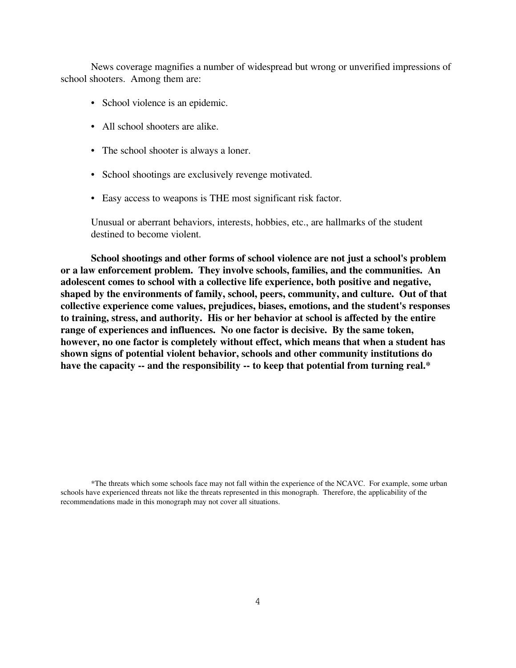News coverage magnifies a number of widespread but wrong or unverified impressions of school shooters. Among them are:

- School violence is an epidemic.
- All school shooters are alike.
- The school shooter is always a loner.
- School shootings are exclusively revenge motivated.
- Easy access to weapons is THE most significant risk factor.

Unusual or aberrant behaviors, interests, hobbies, etc., are hallmarks of the student destined to become violent.

**School shootings and other forms of school violence are not just a school's problem or a law enforcement problem. They involve schools, families, and the communities. An adolescent comes to school with a collective life experience, both positive and negative, shaped by the environments of family, school, peers, community, and culture. Out of that collective experience come values, prejudices, biases, emotions, and the student's responses to training, stress, and authority. His or her behavior at school is affected by the entire range of experiences and influences. No one factor is decisive. By the same token, however, no one factor is completely without effect, which means that when a student has shown signs of potential violent behavior, schools and other community institutions do** have the capacity -- and the responsibility -- to keep that potential from turning real.\*

<sup>\*</sup>The threats which some schools face may not fall within the experience of the NCAVC. For example, some urban schools have experienced threats not like the threats represented in this monograph. Therefore, the applicability of the recommendations made in this monograph may not cover all situations.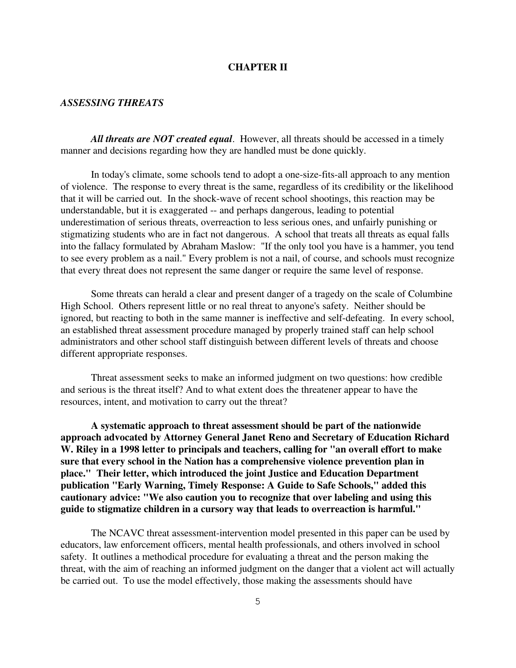#### **CHAPTER II**

### *ASSESSING THREATS*

*All threats are NOT created equal*. However, all threats should be accessed in a timely manner and decisions regarding how they are handled must be done quickly.

In today's climate, some schools tend to adopt a one-size-fits-all approach to any mention of violence. The response to every threat is the same, regardless of its credibility or the likelihood that it will be carried out. In the shock-wave of recent school shootings, this reaction may be understandable, but it is exaggerated -- and perhaps dangerous, leading to potential underestimation of serious threats, overreaction to less serious ones, and unfairly punishing or stigmatizing students who are in fact not dangerous. A school that treats all threats as equal falls into the fallacy formulated by Abraham Maslow: "If the only tool you have is a hammer, you tend to see every problem as a nail." Every problem is not a nail, of course, and schools must recognize that every threat does not represent the same danger or require the same level of response.

Some threats can herald a clear and present danger of a tragedy on the scale of Columbine High School. Others represent little or no real threat to anyone's safety. Neither should be ignored, but reacting to both in the same manner is ineffective and self-defeating. In every school, an established threat assessment procedure managed by properly trained staff can help school administrators and other school staff distinguish between different levels of threats and choose different appropriate responses.

Threat assessment seeks to make an informed judgment on two questions: how credible and serious is the threat itself? And to what extent does the threatener appear to have the resources, intent, and motivation to carry out the threat?

**A systematic approach to threat assessment should be part of the nationwide approach advocated by Attorney General Janet Reno and Secretary of Education Richard W. Riley in a 1998 letter to principals and teachers, calling for "an overall effort to make sure that every school in the Nation has a comprehensive violence prevention plan in place." Their letter, which introduced the joint Justice and Education Department publication "Early Warning, Timely Response: A Guide to Safe Schools," added this cautionary advice: "We also caution you to recognize that over labeling and using this guide to stigmatize children in a cursory way that leads to overreaction is harmful."** 

The NCAVC threat assessment-intervention model presented in this paper can be used by educators, law enforcement officers, mental health professionals, and others involved in school safety. It outlines a methodical procedure for evaluating a threat and the person making the threat, with the aim of reaching an informed judgment on the danger that a violent act will actually be carried out. To use the model effectively, those making the assessments should have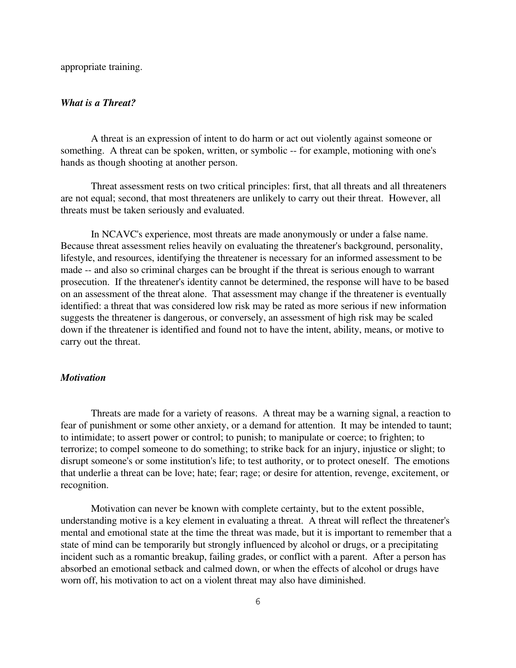appropriate training.

## *What is a Threat?*

A threat is an expression of intent to do harm or act out violently against someone or something. A threat can be spoken, written, or symbolic -- for example, motioning with one's hands as though shooting at another person.

Threat assessment rests on two critical principles: first, that all threats and all threateners are not equal; second, that most threateners are unlikely to carry out their threat. However, all threats must be taken seriously and evaluated.

In NCAVC's experience, most threats are made anonymously or under a false name. Because threat assessment relies heavily on evaluating the threatener's background, personality, lifestyle, and resources, identifying the threatener is necessary for an informed assessment to be made -- and also so criminal charges can be brought if the threat is serious enough to warrant prosecution. If the threatener's identity cannot be determined, the response will have to be based on an assessment of the threat alone. That assessment may change if the threatener is eventually identified: a threat that was considered low risk may be rated as more serious if new information suggests the threatener is dangerous, or conversely, an assessment of high risk may be scaled down if the threatener is identified and found not to have the intent, ability, means, or motive to carry out the threat.

#### *Motivation*

Threats are made for a variety of reasons. A threat may be a warning signal, a reaction to fear of punishment or some other anxiety, or a demand for attention. It may be intended to taunt; to intimidate; to assert power or control; to punish; to manipulate or coerce; to frighten; to terrorize; to compel someone to do something; to strike back for an injury, injustice or slight; to disrupt someone's or some institution's life; to test authority, or to protect oneself. The emotions that underlie a threat can be love; hate; fear; rage; or desire for attention, revenge, excitement, or recognition.

Motivation can never be known with complete certainty, but to the extent possible, understanding motive is a key element in evaluating a threat. A threat will reflect the threatener's mental and emotional state at the time the threat was made, but it is important to remember that a state of mind can be temporarily but strongly influenced by alcohol or drugs, or a precipitating incident such as a romantic breakup, failing grades, or conflict with a parent. After a person has absorbed an emotional setback and calmed down, or when the effects of alcohol or drugs have worn off, his motivation to act on a violent threat may also have diminished.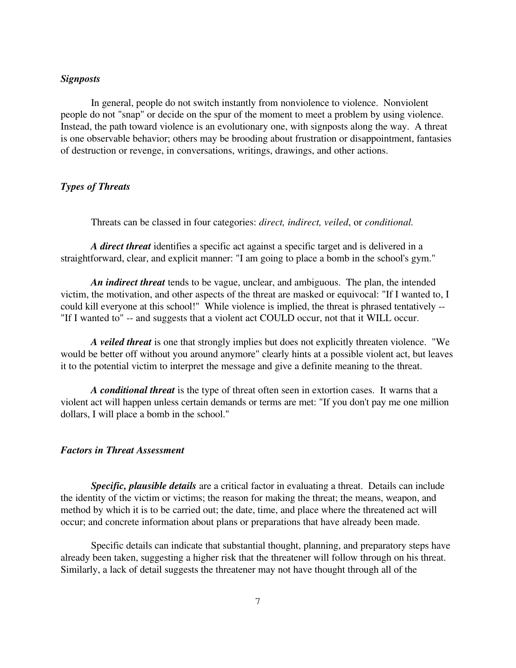#### *Signposts*

In general, people do not switch instantly from nonviolence to violence. Nonviolent people do not "snap" or decide on the spur of the moment to meet a problem by using violence. Instead, the path toward violence is an evolutionary one, with signposts along the way. A threat is one observable behavior; others may be brooding about frustration or disappointment, fantasies of destruction or revenge, in conversations, writings, drawings, and other actions.

### *Types of Threats*

Threats can be classed in four categories: *direct, indirect, veiled*, or *conditional.*

*A direct threat* identifies a specific act against a specific target and is delivered in a straightforward, clear, and explicit manner: "I am going to place a bomb in the school's gym."

*An indirect threat* tends to be vague, unclear, and ambiguous. The plan, the intended victim, the motivation, and other aspects of the threat are masked or equivocal: "If I wanted to, I could kill everyone at this school!" While violence is implied, the threat is phrased tentatively -- "If I wanted to" -- and suggests that a violent act COULD occur, not that it WILL occur.

*A veiled threat* is one that strongly implies but does not explicitly threaten violence. "We would be better off without you around anymore" clearly hints at a possible violent act, but leaves it to the potential victim to interpret the message and give a definite meaning to the threat.

*A conditional threat* is the type of threat often seen in extortion cases. It warns that a violent act will happen unless certain demands or terms are met: "If you don't pay me one million dollars, I will place a bomb in the school."

### *Factors in Threat Assessment*

**Specific, plausible details** are a critical factor in evaluating a threat. Details can include the identity of the victim or victims; the reason for making the threat; the means, weapon, and method by which it is to be carried out; the date, time, and place where the threatened act will occur; and concrete information about plans or preparations that have already been made.

Specific details can indicate that substantial thought, planning, and preparatory steps have already been taken, suggesting a higher risk that the threatener will follow through on his threat. Similarly, a lack of detail suggests the threatener may not have thought through all of the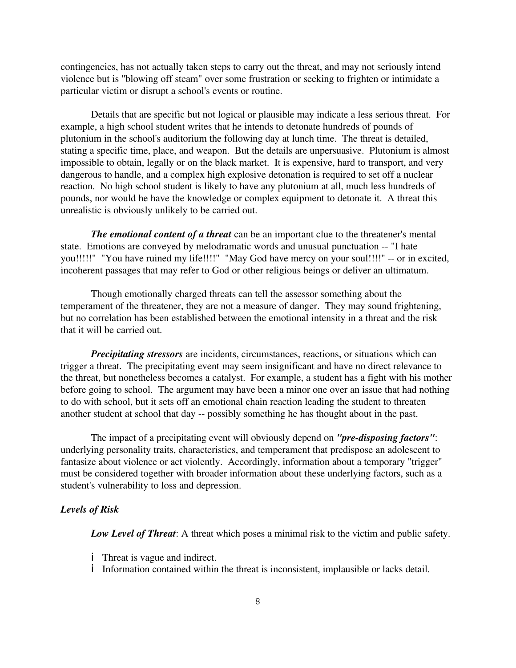contingencies, has not actually taken steps to carry out the threat, and may not seriously intend violence but is "blowing off steam" over some frustration or seeking to frighten or intimidate a particular victim or disrupt a school's events or routine.

Details that are specific but not logical or plausible may indicate a less serious threat. For example, a high school student writes that he intends to detonate hundreds of pounds of plutonium in the school's auditorium the following day at lunch time. The threat is detailed, stating a specific time, place, and weapon. But the details are unpersuasive. Plutonium is almost impossible to obtain, legally or on the black market. It is expensive, hard to transport, and very dangerous to handle, and a complex high explosive detonation is required to set off a nuclear reaction. No high school student is likely to have any plutonium at all, much less hundreds of pounds, nor would he have the knowledge or complex equipment to detonate it. A threat this unrealistic is obviously unlikely to be carried out.

*The emotional content of a threat* can be an important clue to the threatener's mental state. Emotions are conveyed by melodramatic words and unusual punctuation -- "I hate you!!!!!" "You have ruined my life!!!!" "May God have mercy on your soul!!!!" -- or in excited, incoherent passages that may refer to God or other religious beings or deliver an ultimatum.

Though emotionally charged threats can tell the assessor something about the temperament of the threatener, they are not a measure of danger. They may sound frightening, but no correlation has been established between the emotional intensity in a threat and the risk that it will be carried out.

*Precipitating stressors* are incidents, circumstances, reactions, or situations which can trigger a threat. The precipitating event may seem insignificant and have no direct relevance to the threat, but nonetheless becomes a catalyst. For example, a student has a fight with his mother before going to school. The argument may have been a minor one over an issue that had nothing to do with school, but it sets off an emotional chain reaction leading the student to threaten another student at school that day -- possibly something he has thought about in the past.

The impact of a precipitating event will obviously depend on *"pre-disposing factors"*: underlying personality traits, characteristics, and temperament that predispose an adolescent to fantasize about violence or act violently. Accordingly, information about a temporary "trigger" must be considered together with broader information about these underlying factors, such as a student's vulnerability to loss and depression.

#### *Levels of Risk*

*Low Level of Threat*: A threat which poses a minimal risk to the victim and public safety.

- i Threat is vague and indirect.
- i Information contained within the threat is inconsistent, implausible or lacks detail.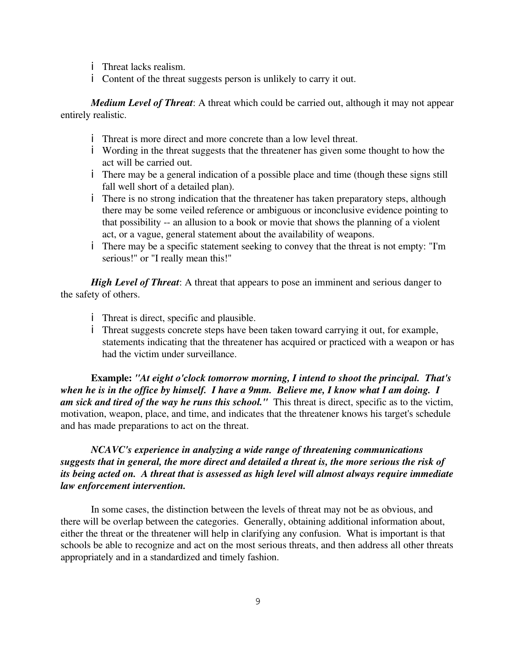- i Threat lacks realism.
- i Content of the threat suggests person is unlikely to carry it out.

*Medium Level of Threat*: A threat which could be carried out, although it may not appear entirely realistic.

- i Threat is more direct and more concrete than a low level threat.
- i Wording in the threat suggests that the threatener has given some thought to how the act will be carried out.
- i There may be a general indication of a possible place and time (though these signs still fall well short of a detailed plan).
- i There is no strong indication that the threatener has taken preparatory steps, although there may be some veiled reference or ambiguous or inconclusive evidence pointing to that possibility -- an allusion to a book or movie that shows the planning of a violent act, or a vague, general statement about the availability of weapons.
- i There may be a specific statement seeking to convey that the threat is not empty: "I'm serious!" or "I really mean this!"

*High Level of Threat*: A threat that appears to pose an imminent and serious danger to the safety of others.

- i Threat is direct, specific and plausible.
- i Threat suggests concrete steps have been taken toward carrying it out, for example, statements indicating that the threatener has acquired or practiced with a weapon or has had the victim under surveillance.

**Example:** *"At eight o'clock tomorrow morning, I intend to shoot the principal. That's when he is in the office by himself. I have a 9mm. Believe me, I know what I am doing. I am sick and tired of the way he runs this school."* This threat is direct, specific as to the victim, motivation, weapon, place, and time, and indicates that the threatener knows his target's schedule and has made preparations to act on the threat.

## *NCAVC's experience in analyzing a wide range of threatening communications suggests that in general, the more direct and detailed a threat is, the more serious the risk of its being acted on. A threat that is assessed as high level will almost always require immediate law enforcement intervention.*

In some cases, the distinction between the levels of threat may not be as obvious, and there will be overlap between the categories. Generally, obtaining additional information about, either the threat or the threatener will help in clarifying any confusion. What is important is that schools be able to recognize and act on the most serious threats, and then address all other threats appropriately and in a standardized and timely fashion.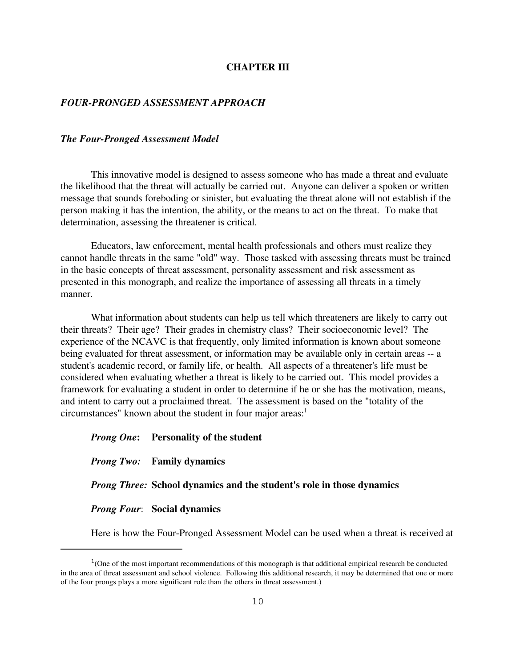#### **CHAPTER III**

#### *FOUR-PRONGED ASSESSMENT APPROACH*

#### *The Four-Pronged Assessment Model*

This innovative model is designed to assess someone who has made a threat and evaluate the likelihood that the threat will actually be carried out. Anyone can deliver a spoken or written message that sounds foreboding or sinister, but evaluating the threat alone will not establish if the person making it has the intention, the ability, or the means to act on the threat. To make that determination, assessing the threatener is critical.

Educators, law enforcement, mental health professionals and others must realize they cannot handle threats in the same "old" way. Those tasked with assessing threats must be trained in the basic concepts of threat assessment, personality assessment and risk assessment as presented in this monograph, and realize the importance of assessing all threats in a timely manner.

What information about students can help us tell which threateners are likely to carry out their threats? Their age? Their grades in chemistry class? Their socioeconomic level? The experience of the NCAVC is that frequently, only limited information is known about someone being evaluated for threat assessment, or information may be available only in certain areas -- a student's academic record, or family life, or health. All aspects of a threatener's life must be considered when evaluating whether a threat is likely to be carried out. This model provides a framework for evaluating a student in order to determine if he or she has the motivation, means, and intent to carry out a proclaimed threat. The assessment is based on the "totality of the circumstances" known about the student in four major areas:<sup>1</sup>

*Prong One***: Personality of the student**

*Prong Two:* **Family dynamics**

*Prong Three:* **School dynamics and the student's role in those dynamics**

#### *Prong Four*: **Social dynamics**

Here is how the Four-Pronged Assessment Model can be used when a threat is received at

 $1$ <sup>1</sup>(One of the most important recommendations of this monograph is that additional empirical research be conducted in the area of threat assessment and school violence. Following this additional research, it may be determined that one or more of the four prongs plays a more significant role than the others in threat assessment.)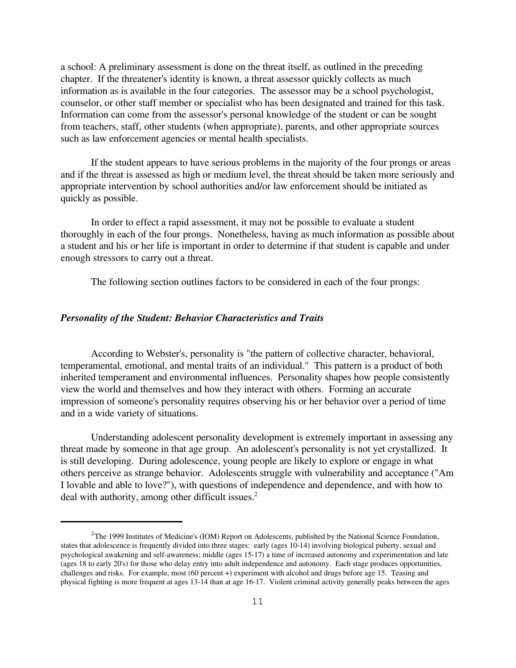a school: A preliminary assessment is done on the threat itself, as outlined in the preceding chapter. If the threatener's identity is known, a threat assessor quickly collects as much information as is available in the four categories. The assessor may be a school psychologist, counselor, or other staff member or specialist who has been designated and trained for this task. Information can come from the assessor's personal knowledge of the student or can be sought from teachers, staff, other students (when appropriate), parents, and other appropriate sources such as law enforcement agencies or mental health specialists.

If the student appears to have serious problems in the majority of the four prongs or areas and if the threat is assessed as high or medium level, the threat should be taken more seriously and appropriate intervention by school authorities and/or law enforcement should be initiated as quickly as possible.

In order to effect a rapid assessment, it may not be possible to evaluate a student thoroughly in each of the four prongs. Nonetheless, having as much information as possible about a student and his or her life is important in order to determine if that student is capable and under enough stressors to carry out a threat.

The following section outlines factors to be considered in each of the four prongs:

#### *Personality of the Student: Behavior Characteristics and Traits*

According to Webster's, personality is "the pattern of collective character, behavioral, temperamental, emotional, and mental traits of an individual." This pattern is a product of both inherited temperament and environmental influences. Personality shapes how people consistently view the world and themselves and how they interact with others. Forming an accurate impression of someone's personality requires observing his or her behavior over a period of time and in a wide variety of situations.

Understanding adolescent personality development is extremely important in assessing any threat made by someone in that age group. An adolescent's personality is not yet crystallized. It is still developing. During adolescence, young people are likely to explore or engage in what others perceive as strange behavior. Adolescents struggle with vulnerability and acceptance ("Am I lovable and able to love?"), with questions of independence and dependence, and with how to deal with authority, among other difficult issues.<sup>2</sup>

 ${}^{2}$ The 1999 Institutes of Medicine's (IOM) Report on Adolescents, published by the National Science Foundation, states that adolescence is frequently divided into three stages: early (ages 10-14) involving biological puberty, sexual and psychological awakening and self-awareness; middle (ages 15-17) a time of increased autonomy and experimentation and late (ages 18 to early 20's) for those who delay entry into adult independence and autonomy. Each stage produces opportunities, challenges and risks. For example, most (60 percent +) experiment with alcohol and drugs before age 15. Teasing and physical fighting is more frequent at ages 13-14 than at age 16-17. Violent criminal activity generally peaks between the ages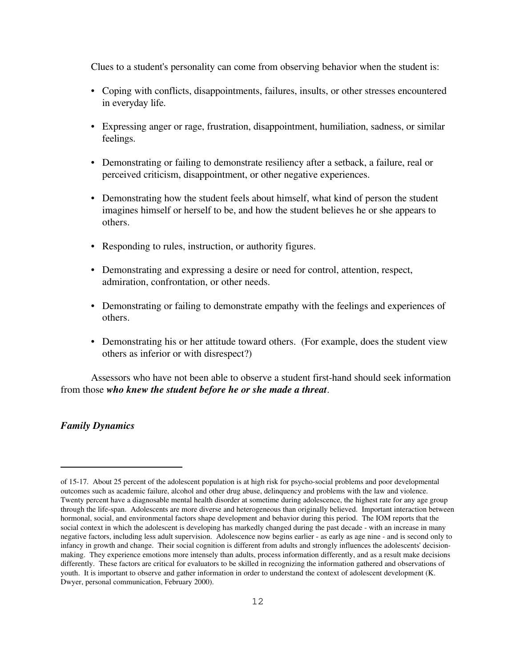Clues to a student's personality can come from observing behavior when the student is:

- Coping with conflicts, disappointments, failures, insults, or other stresses encountered in everyday life.
- Expressing anger or rage, frustration, disappointment, humiliation, sadness, or similar feelings.
- Demonstrating or failing to demonstrate resiliency after a setback, a failure, real or perceived criticism, disappointment, or other negative experiences.
- Demonstrating how the student feels about himself, what kind of person the student imagines himself or herself to be, and how the student believes he or she appears to others.
- Responding to rules, instruction, or authority figures.
- Demonstrating and expressing a desire or need for control, attention, respect, admiration, confrontation, or other needs.
- Demonstrating or failing to demonstrate empathy with the feelings and experiences of others.
- Demonstrating his or her attitude toward others. (For example, does the student view others as inferior or with disrespect?)

Assessors who have not been able to observe a student first-hand should seek information from those *who knew the student before he or she made a threat*.

#### *Family Dynamics*

of 15-17. About 25 percent of the adolescent population is at high risk for psycho-social problems and poor developmental outcomes such as academic failure, alcohol and other drug abuse, delinquency and problems with the law and violence. Twenty percent have a diagnosable mental health disorder at sometime during adolescence, the highest rate for any age group through the life-span. Adolescents are more diverse and heterogeneous than originally believed. Important interaction between hormonal, social, and environmental factors shape development and behavior during this period. The IOM reports that the social context in which the adolescent is developing has markedly changed during the past decade - with an increase in many negative factors, including less adult supervision. Adolescence now begins earlier - as early as age nine - and is second only to infancy in growth and change. Their social cognition is different from adults and strongly influences the adolescents' decisionmaking. They experience emotions more intensely than adults, process information differently, and as a result make decisions differently. These factors are critical for evaluators to be skilled in recognizing the information gathered and observations of youth. It is important to observe and gather information in order to understand the context of adolescent development (K. Dwyer, personal communication, February 2000).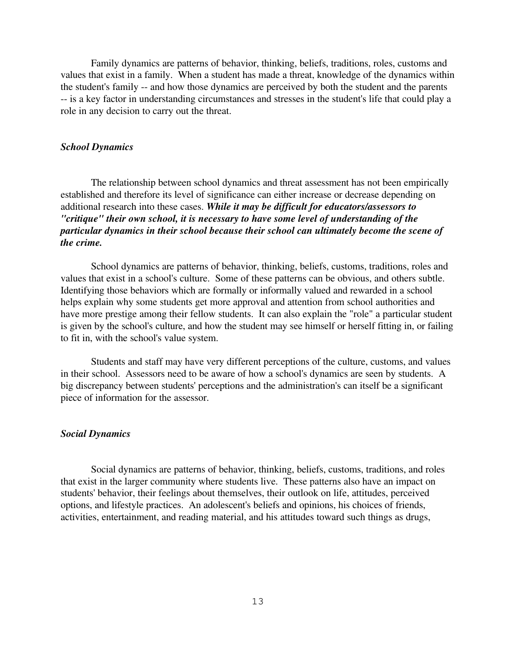Family dynamics are patterns of behavior, thinking, beliefs, traditions, roles, customs and values that exist in a family. When a student has made a threat, knowledge of the dynamics within the student's family -- and how those dynamics are perceived by both the student and the parents -- is a key factor in understanding circumstances and stresses in the student's life that could play a role in any decision to carry out the threat.

#### *School Dynamics*

The relationship between school dynamics and threat assessment has not been empirically established and therefore its level of significance can either increase or decrease depending on additional research into these cases. *While it may be difficult for educators/assessors to "critique" their own school, it is necessary to have some level of understanding of the particular dynamics in their school because their school can ultimately become the scene of the crime.*

School dynamics are patterns of behavior, thinking, beliefs, customs, traditions, roles and values that exist in a school's culture. Some of these patterns can be obvious, and others subtle. Identifying those behaviors which are formally or informally valued and rewarded in a school helps explain why some students get more approval and attention from school authorities and have more prestige among their fellow students. It can also explain the "role" a particular student is given by the school's culture, and how the student may see himself or herself fitting in, or failing to fit in, with the school's value system.

Students and staff may have very different perceptions of the culture, customs, and values in their school. Assessors need to be aware of how a school's dynamics are seen by students. A big discrepancy between students' perceptions and the administration's can itself be a significant piece of information for the assessor.

#### *Social Dynamics*

Social dynamics are patterns of behavior, thinking, beliefs, customs, traditions, and roles that exist in the larger community where students live. These patterns also have an impact on students' behavior, their feelings about themselves, their outlook on life, attitudes, perceived options, and lifestyle practices. An adolescent's beliefs and opinions, his choices of friends, activities, entertainment, and reading material, and his attitudes toward such things as drugs,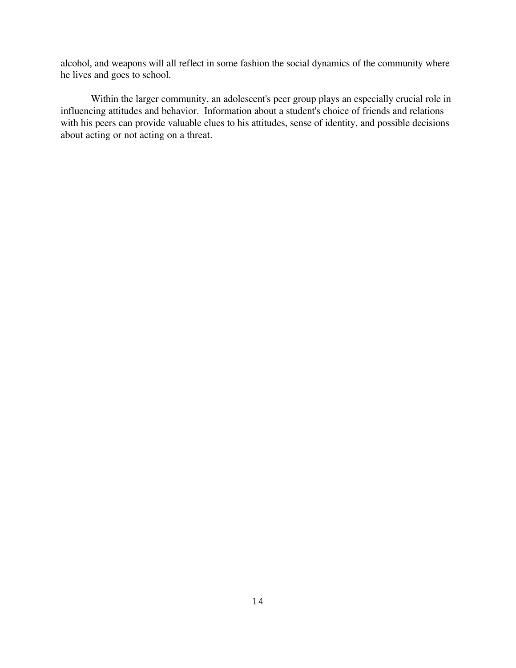alcohol, and weapons will all reflect in some fashion the social dynamics of the community where he lives and goes to school.

Within the larger community, an adolescent's peer group plays an especially crucial role in influencing attitudes and behavior. Information about a student's choice of friends and relations with his peers can provide valuable clues to his attitudes, sense of identity, and possible decisions about acting or not acting on a threat.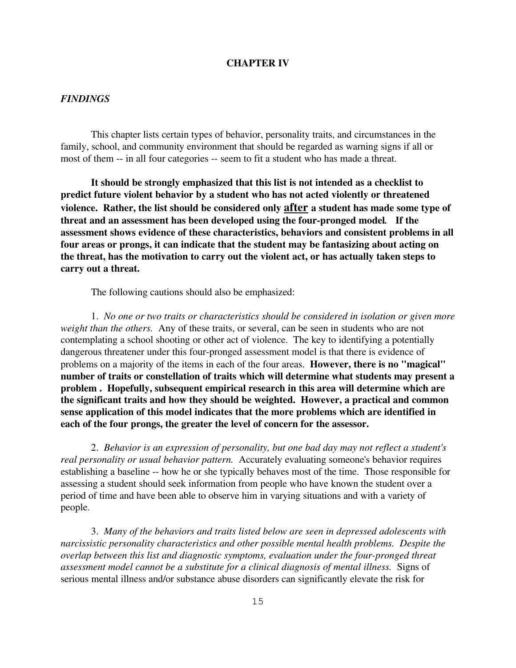#### **CHAPTER IV**

#### *FINDINGS*

This chapter lists certain types of behavior, personality traits, and circumstances in the family, school, and community environment that should be regarded as warning signs if all or most of them -- in all four categories -- seem to fit a student who has made a threat.

**It should be strongly emphasized that this list is not intended as a checklist to predict future violent behavior by a student who has not acted violently or threatened violence. Rather, the list should be considered only after a student has made some type of threat and an assessment has been developed using the four-pronged model***.* **If the assessment shows evidence of these characteristics, behaviors and consistent problems in all four areas or prongs, it can indicate that the student may be fantasizing about acting on the threat, has the motivation to carry out the violent act, or has actually taken steps to carry out a threat.**

The following cautions should also be emphasized:

1. *No one or two traits or characteristics should be considered in isolation or given more weight than the others.* Any of these traits, or several, can be seen in students who are not contemplating a school shooting or other act of violence. The key to identifying a potentially dangerous threatener under this four-pronged assessment model is that there is evidence of problems on a majority of the items in each of the four areas. **However, there is no "magical" number of traits or constellation of traits which will determine what students may present a problem . Hopefully, subsequent empirical research in this area will determine which are the significant traits and how they should be weighted. However, a practical and common sense application of this model indicates that the more problems which are identified in each of the four prongs, the greater the level of concern for the assessor.**

2. *Behavior is an expression of personality, but one bad day may not reflect a student's real personality or usual behavior pattern.* Accurately evaluating someone's behavior requires establishing a baseline -- how he or she typically behaves most of the time. Those responsible for assessing a student should seek information from people who have known the student over a period of time and have been able to observe him in varying situations and with a variety of people.

3. *Many of the behaviors and traits listed below are seen in depressed adolescents with narcissistic personality characteristics and other possible mental health problems. Despite the overlap between this list and diagnostic symptoms, evaluation under the four-pronged threat assessment model cannot be a substitute for a clinical diagnosis of mental illness.* Signs of serious mental illness and/or substance abuse disorders can significantly elevate the risk for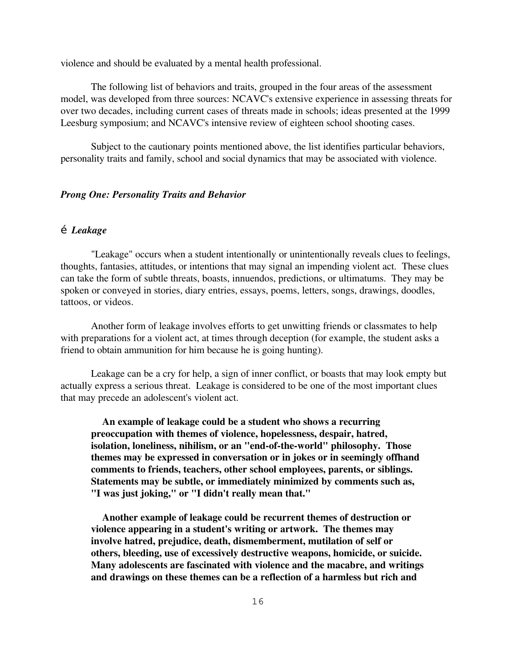violence and should be evaluated by a mental health professional.

The following list of behaviors and traits, grouped in the four areas of the assessment model, was developed from three sources: NCAVC's extensive experience in assessing threats for over two decades, including current cases of threats made in schools; ideas presented at the 1999 Leesburg symposium; and NCAVC's intensive review of eighteen school shooting cases.

Subject to the cautionary points mentioned above, the list identifies particular behaviors, personality traits and family, school and social dynamics that may be associated with violence.

#### *Prong One: Personality Traits and Behavior*

## Ž *Leakage*

"Leakage" occurs when a student intentionally or unintentionally reveals clues to feelings, thoughts, fantasies, attitudes, or intentions that may signal an impending violent act. These clues can take the form of subtle threats, boasts, innuendos, predictions, or ultimatums. They may be spoken or conveyed in stories, diary entries, essays, poems, letters, songs, drawings, doodles, tattoos, or videos.

Another form of leakage involves efforts to get unwitting friends or classmates to help with preparations for a violent act, at times through deception (for example, the student asks a friend to obtain ammunition for him because he is going hunting).

Leakage can be a cry for help, a sign of inner conflict, or boasts that may look empty but actually express a serious threat. Leakage is considered to be one of the most important clues that may precede an adolescent's violent act.

**An example of leakage could be a student who shows a recurring preoccupation with themes of violence, hopelessness, despair, hatred, isolation, loneliness, nihilism, or an "end-of-the-world" philosophy. Those themes may be expressed in conversation or in jokes or in seemingly offhand comments to friends, teachers, other school employees, parents, or siblings. Statements may be subtle, or immediately minimized by comments such as, "I was just joking," or "I didn't really mean that."**

**Another example of leakage could be recurrent themes of destruction or violence appearing in a student's writing or artwork. The themes may involve hatred, prejudice, death, dismemberment, mutilation of self or others, bleeding, use of excessively destructive weapons, homicide, or suicide. Many adolescents are fascinated with violence and the macabre, and writings and drawings on these themes can be a reflection of a harmless but rich and**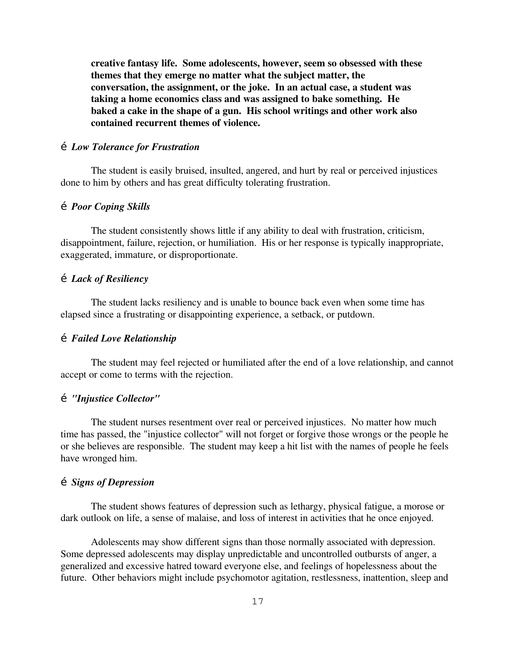**creative fantasy life. Some adolescents, however, seem so obsessed with these themes that they emerge no matter what the subject matter, the conversation, the assignment, or the joke. In an actual case, a student was taking a home economics class and was assigned to bake something. He baked a cake in the shape of a gun. His school writings and other work also contained recurrent themes of violence.**

### Ž *Low Tolerance for Frustration*

The student is easily bruised, insulted, angered, and hurt by real or perceived injustices done to him by others and has great difficulty tolerating frustration.

## Ž *Poor Coping Skills*

The student consistently shows little if any ability to deal with frustration, criticism, disappointment, failure, rejection, or humiliation. His or her response is typically inappropriate, exaggerated, immature, or disproportionate.

## Ž *Lack of Resiliency*

The student lacks resiliency and is unable to bounce back even when some time has elapsed since a frustrating or disappointing experience, a setback, or putdown.

## Ž *Failed Love Relationship*

The student may feel rejected or humiliated after the end of a love relationship, and cannot accept or come to terms with the rejection.

## Ž *"Injustice Collector"*

The student nurses resentment over real or perceived injustices. No matter how much time has passed, the "injustice collector" will not forget or forgive those wrongs or the people he or she believes are responsible. The student may keep a hit list with the names of people he feels have wronged him.

## Ž *Signs of Depression*

The student shows features of depression such as lethargy, physical fatigue, a morose or dark outlook on life, a sense of malaise, and loss of interest in activities that he once enjoyed.

Adolescents may show different signs than those normally associated with depression. Some depressed adolescents may display unpredictable and uncontrolled outbursts of anger, a generalized and excessive hatred toward everyone else, and feelings of hopelessness about the future. Other behaviors might include psychomotor agitation, restlessness, inattention, sleep and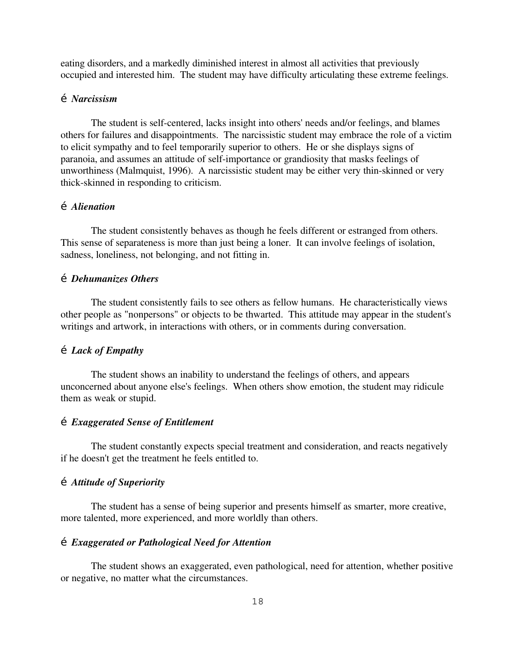eating disorders, and a markedly diminished interest in almost all activities that previously occupied and interested him. The student may have difficulty articulating these extreme feelings.

## Ž *Narcissism*

The student is self-centered, lacks insight into others' needs and/or feelings, and blames others for failures and disappointments. The narcissistic student may embrace the role of a victim to elicit sympathy and to feel temporarily superior to others. He or she displays signs of paranoia, and assumes an attitude of self-importance or grandiosity that masks feelings of unworthiness (Malmquist, 1996). A narcissistic student may be either very thin-skinned or very thick-skinned in responding to criticism.

## Ž *Alienation*

The student consistently behaves as though he feels different or estranged from others. This sense of separateness is more than just being a loner. It can involve feelings of isolation, sadness, loneliness, not belonging, and not fitting in.

## Ž *Dehumanizes Others*

The student consistently fails to see others as fellow humans. He characteristically views other people as "nonpersons" or objects to be thwarted. This attitude may appear in the student's writings and artwork, in interactions with others, or in comments during conversation.

#### Ž *Lack of Empathy*

The student shows an inability to understand the feelings of others, and appears unconcerned about anyone else's feelings. When others show emotion, the student may ridicule them as weak or stupid.

## Ž *Exaggerated Sense of Entitlement*

The student constantly expects special treatment and consideration, and reacts negatively if he doesn't get the treatment he feels entitled to.

## Ž *Attitude of Superiority*

The student has a sense of being superior and presents himself as smarter, more creative, more talented, more experienced, and more worldly than others.

### Ž *Exaggerated or Pathological Need for Attention*

The student shows an exaggerated, even pathological, need for attention, whether positive or negative, no matter what the circumstances.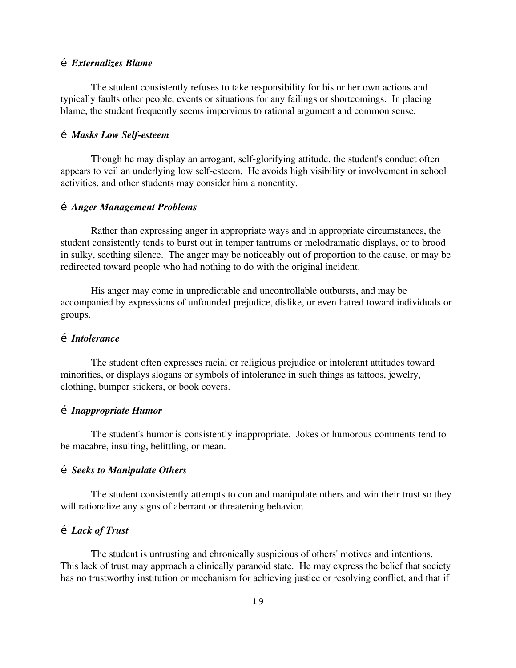## Ž *Externalizes Blame*

The student consistently refuses to take responsibility for his or her own actions and typically faults other people, events or situations for any failings or shortcomings. In placing blame, the student frequently seems impervious to rational argument and common sense.

### Ž *Masks Low Self-esteem*

Though he may display an arrogant, self-glorifying attitude, the student's conduct often appears to veil an underlying low self-esteem. He avoids high visibility or involvement in school activities, and other students may consider him a nonentity.

### Ž *Anger Management Problems*

Rather than expressing anger in appropriate ways and in appropriate circumstances, the student consistently tends to burst out in temper tantrums or melodramatic displays, or to brood in sulky, seething silence. The anger may be noticeably out of proportion to the cause, or may be redirected toward people who had nothing to do with the original incident.

His anger may come in unpredictable and uncontrollable outbursts, and may be accompanied by expressions of unfounded prejudice, dislike, or even hatred toward individuals or groups.

## Ž *Intolerance*

The student often expresses racial or religious prejudice or intolerant attitudes toward minorities, or displays slogans or symbols of intolerance in such things as tattoos, jewelry, clothing, bumper stickers, or book covers.

## Ž *Inappropriate Humor*

The student's humor is consistently inappropriate. Jokes or humorous comments tend to be macabre, insulting, belittling, or mean.

## Ž *Seeks to Manipulate Others*

The student consistently attempts to con and manipulate others and win their trust so they will rationalize any signs of aberrant or threatening behavior.

## Ž *Lack of Trust*

The student is untrusting and chronically suspicious of others' motives and intentions. This lack of trust may approach a clinically paranoid state. He may express the belief that society has no trustworthy institution or mechanism for achieving justice or resolving conflict, and that if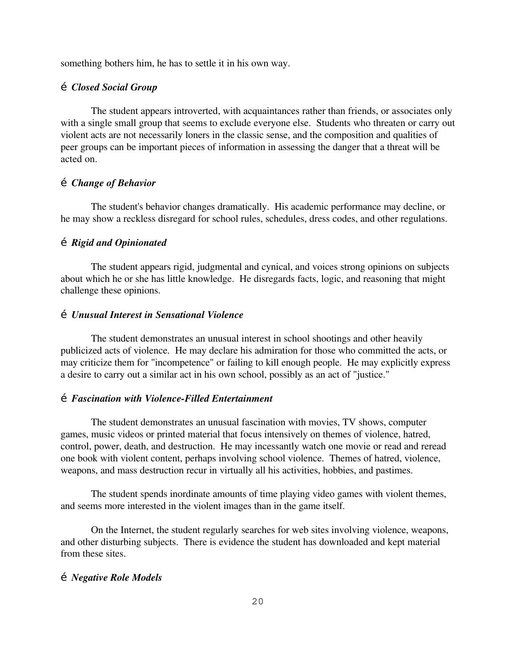something bothers him, he has to settle it in his own way.

## Ž *Closed Social Group*

The student appears introverted, with acquaintances rather than friends, or associates only with a single small group that seems to exclude everyone else. Students who threaten or carry out violent acts are not necessarily loners in the classic sense, and the composition and qualities of peer groups can be important pieces of information in assessing the danger that a threat will be acted on.

### Ž *Change of Behavior*

The student's behavior changes dramatically. His academic performance may decline, or he may show a reckless disregard for school rules, schedules, dress codes, and other regulations.

### Ž *Rigid and Opinionated*

The student appears rigid, judgmental and cynical, and voices strong opinions on subjects about which he or she has little knowledge. He disregards facts, logic, and reasoning that might challenge these opinions.

## Ž *Unusual Interest in Sensational Violence*

The student demonstrates an unusual interest in school shootings and other heavily publicized acts of violence. He may declare his admiration for those who committed the acts, or may criticize them for "incompetence" or failing to kill enough people. He may explicitly express a desire to carry out a similar act in his own school, possibly as an act of "justice."

## Ž *Fascination with Violence-Filled Entertainment*

The student demonstrates an unusual fascination with movies, TV shows, computer games, music videos or printed material that focus intensively on themes of violence, hatred, control, power, death, and destruction. He may incessantly watch one movie or read and reread one book with violent content, perhaps involving school violence. Themes of hatred, violence, weapons, and mass destruction recur in virtually all his activities, hobbies, and pastimes.

The student spends inordinate amounts of time playing video games with violent themes, and seems more interested in the violent images than in the game itself.

On the Internet, the student regularly searches for web sites involving violence, weapons, and other disturbing subjects. There is evidence the student has downloaded and kept material from these sites.

## Ž *Negative Role Models*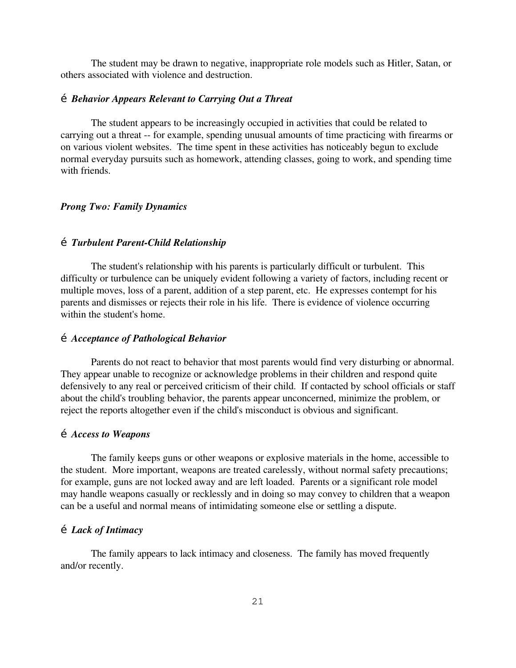The student may be drawn to negative, inappropriate role models such as Hitler, Satan, or others associated with violence and destruction.

## Ž *Behavior Appears Relevant to Carrying Out a Threat*

The student appears to be increasingly occupied in activities that could be related to carrying out a threat -- for example, spending unusual amounts of time practicing with firearms or on various violent websites. The time spent in these activities has noticeably begun to exclude normal everyday pursuits such as homework, attending classes, going to work, and spending time with friends.

#### *Prong Two: Family Dynamics*

## Ž *Turbulent Parent-Child Relationship*

The student's relationship with his parents is particularly difficult or turbulent. This difficulty or turbulence can be uniquely evident following a variety of factors, including recent or multiple moves, loss of a parent, addition of a step parent, etc. He expresses contempt for his parents and dismisses or rejects their role in his life. There is evidence of violence occurring within the student's home.

### Ž *Acceptance of Pathological Behavior*

Parents do not react to behavior that most parents would find very disturbing or abnormal. They appear unable to recognize or acknowledge problems in their children and respond quite defensively to any real or perceived criticism of their child. If contacted by school officials or staff about the child's troubling behavior, the parents appear unconcerned, minimize the problem, or reject the reports altogether even if the child's misconduct is obvious and significant.

## Ž *Access to Weapons*

The family keeps guns or other weapons or explosive materials in the home, accessible to the student. More important, weapons are treated carelessly, without normal safety precautions; for example, guns are not locked away and are left loaded. Parents or a significant role model may handle weapons casually or recklessly and in doing so may convey to children that a weapon can be a useful and normal means of intimidating someone else or settling a dispute.

### Ž *Lack of Intimacy*

The family appears to lack intimacy and closeness. The family has moved frequently and/or recently.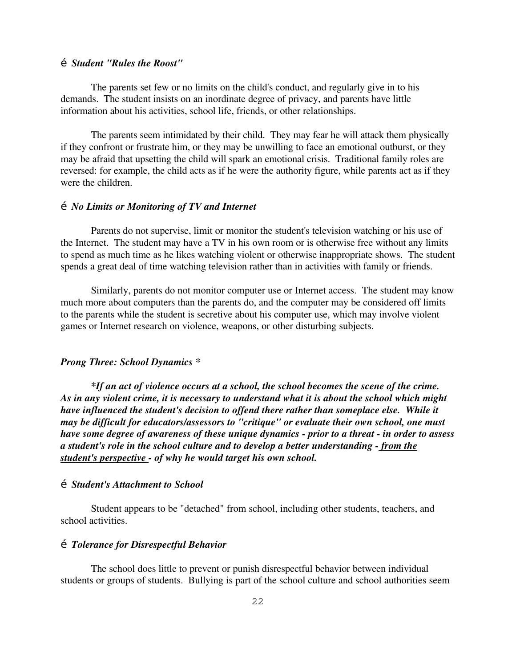## Ž *Student "Rules the Roost"*

The parents set few or no limits on the child's conduct, and regularly give in to his demands. The student insists on an inordinate degree of privacy, and parents have little information about his activities, school life, friends, or other relationships.

The parents seem intimidated by their child. They may fear he will attack them physically if they confront or frustrate him, or they may be unwilling to face an emotional outburst, or they may be afraid that upsetting the child will spark an emotional crisis. Traditional family roles are reversed: for example, the child acts as if he were the authority figure, while parents act as if they were the children.

#### Ž *No Limits or Monitoring of TV and Internet*

Parents do not supervise, limit or monitor the student's television watching or his use of the Internet. The student may have a TV in his own room or is otherwise free without any limits to spend as much time as he likes watching violent or otherwise inappropriate shows. The student spends a great deal of time watching television rather than in activities with family or friends.

Similarly, parents do not monitor computer use or Internet access. The student may know much more about computers than the parents do, and the computer may be considered off limits to the parents while the student is secretive about his computer use, which may involve violent games or Internet research on violence, weapons, or other disturbing subjects.

### *Prong Three: School Dynamics \**

*\*If an act of violence occurs at a school, the school becomes the scene of the crime. As in any violent crime, it is necessary to understand what it is about the school which might have influenced the student's decision to offend there rather than someplace else. While it may be difficult for educators/assessors to "critique" or evaluate their own school, one must have some degree of awareness of these unique dynamics - prior to a threat - in order to assess a student's role in the school culture and to develop a better understanding - from the student's perspective - of why he would target his own school.*

#### Ž *Student's Attachment to School*

Student appears to be "detached" from school, including other students, teachers, and school activities.

### Ž *Tolerance for Disrespectful Behavior*

The school does little to prevent or punish disrespectful behavior between individual students or groups of students. Bullying is part of the school culture and school authorities seem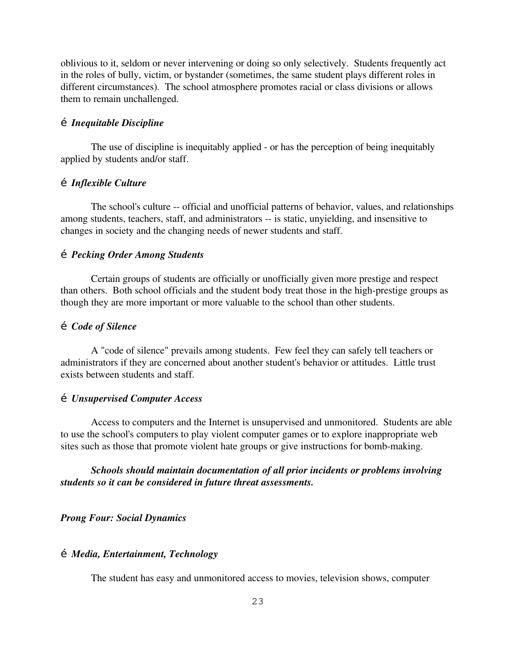oblivious to it, seldom or never intervening or doing so only selectively. Students frequently act in the roles of bully, victim, or bystander (sometimes, the same student plays different roles in different circumstances). The school atmosphere promotes racial or class divisions or allows them to remain unchallenged.

## Ž *Inequitable Discipline*

The use of discipline is inequitably applied - or has the perception of being inequitably applied by students and/or staff.

## Ž *Inflexible Culture*

The school's culture -- official and unofficial patterns of behavior, values, and relationships among students, teachers, staff, and administrators -- is static, unyielding, and insensitive to changes in society and the changing needs of newer students and staff.

## Ž *Pecking Order Among Students*

Certain groups of students are officially or unofficially given more prestige and respect than others. Both school officials and the student body treat those in the high-prestige groups as though they are more important or more valuable to the school than other students.

## Ž *Code of Silence*

A "code of silence" prevails among students. Few feel they can safely tell teachers or administrators if they are concerned about another student's behavior or attitudes. Little trust exists between students and staff.

## Ž *Unsupervised Computer Access*

Access to computers and the Internet is unsupervised and unmonitored. Students are able to use the school's computers to play violent computer games or to explore inappropriate web sites such as those that promote violent hate groups or give instructions for bomb-making.

*Schools should maintain documentation of all prior incidents or problems involving students so it can be considered in future threat assessments.*

#### *Prong Four: Social Dynamics*

### Ž *Media, Entertainment, Technology*

The student has easy and unmonitored access to movies, television shows, computer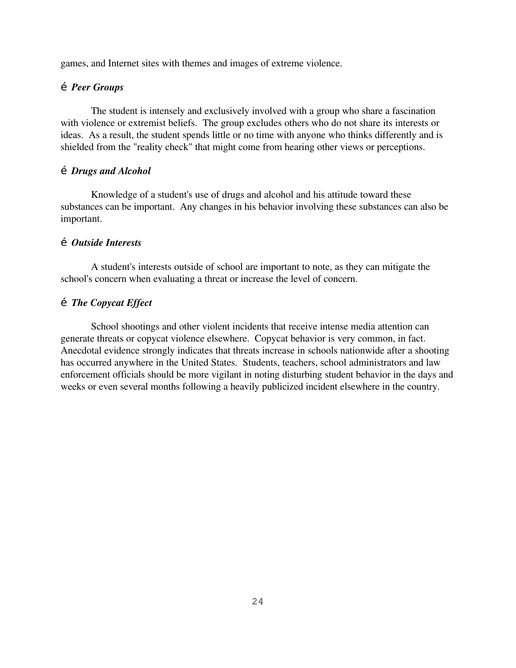games, and Internet sites with themes and images of extreme violence.

## Ž *Peer Groups*

The student is intensely and exclusively involved with a group who share a fascination with violence or extremist beliefs. The group excludes others who do not share its interests or ideas. As a result, the student spends little or no time with anyone who thinks differently and is shielded from the "reality check" that might come from hearing other views or perceptions.

## Ž *Drugs and Alcohol*

Knowledge of a student's use of drugs and alcohol and his attitude toward these substances can be important. Any changes in his behavior involving these substances can also be important.

## Ž *Outside Interests*

A student's interests outside of school are important to note, as they can mitigate the school's concern when evaluating a threat or increase the level of concern.

## Ž *The Copycat Effect*

School shootings and other violent incidents that receive intense media attention can generate threats or copycat violence elsewhere. Copycat behavior is very common, in fact. Anecdotal evidence strongly indicates that threats increase in schools nationwide after a shooting has occurred anywhere in the United States. Students, teachers, school administrators and law enforcement officials should be more vigilant in noting disturbing student behavior in the days and weeks or even several months following a heavily publicized incident elsewhere in the country.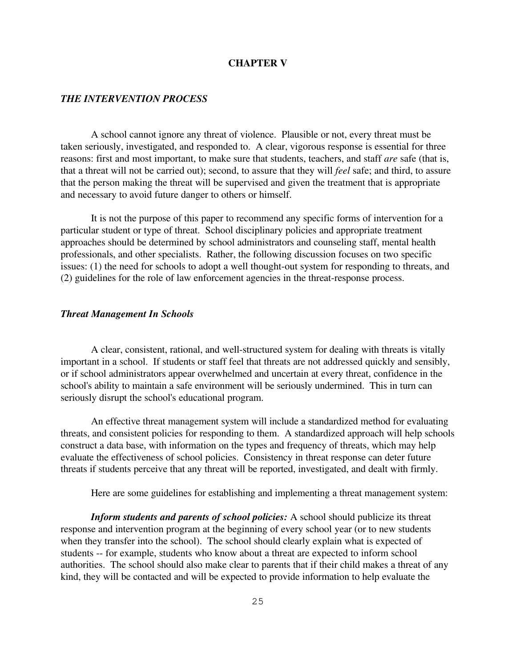#### **CHAPTER V**

### *THE INTERVENTION PROCESS*

A school cannot ignore any threat of violence. Plausible or not, every threat must be taken seriously, investigated, and responded to. A clear, vigorous response is essential for three reasons: first and most important, to make sure that students, teachers, and staff *are* safe (that is, that a threat will not be carried out); second, to assure that they will *feel* safe; and third, to assure that the person making the threat will be supervised and given the treatment that is appropriate and necessary to avoid future danger to others or himself.

It is not the purpose of this paper to recommend any specific forms of intervention for a particular student or type of threat. School disciplinary policies and appropriate treatment approaches should be determined by school administrators and counseling staff, mental health professionals, and other specialists. Rather, the following discussion focuses on two specific issues: (1) the need for schools to adopt a well thought-out system for responding to threats, and (2) guidelines for the role of law enforcement agencies in the threat-response process.

#### *Threat Management In Schools*

A clear, consistent, rational, and well-structured system for dealing with threats is vitally important in a school. If students or staff feel that threats are not addressed quickly and sensibly, or if school administrators appear overwhelmed and uncertain at every threat, confidence in the school's ability to maintain a safe environment will be seriously undermined. This in turn can seriously disrupt the school's educational program.

An effective threat management system will include a standardized method for evaluating threats, and consistent policies for responding to them. A standardized approach will help schools construct a data base, with information on the types and frequency of threats, which may help evaluate the effectiveness of school policies. Consistency in threat response can deter future threats if students perceive that any threat will be reported, investigated, and dealt with firmly.

Here are some guidelines for establishing and implementing a threat management system:

*Inform students and parents of school policies:* A school should publicize its threat response and intervention program at the beginning of every school year (or to new students when they transfer into the school). The school should clearly explain what is expected of students -- for example, students who know about a threat are expected to inform school authorities. The school should also make clear to parents that if their child makes a threat of any kind, they will be contacted and will be expected to provide information to help evaluate the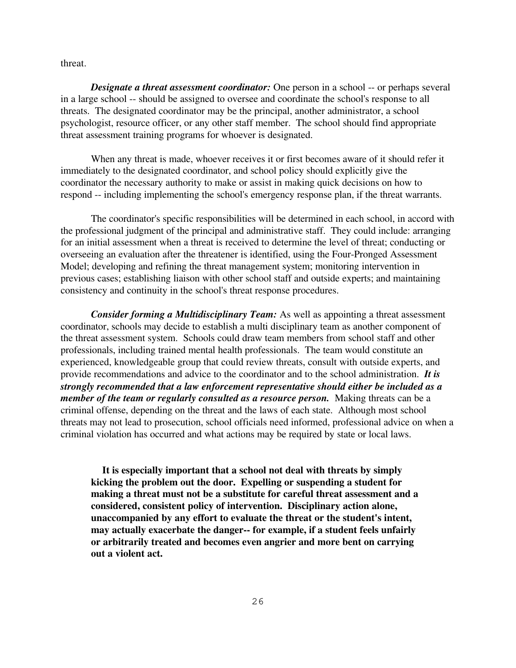threat.

*Designate a threat assessment coordinator:* One person in a school -- or perhaps several in a large school -- should be assigned to oversee and coordinate the school's response to all threats. The designated coordinator may be the principal, another administrator, a school psychologist, resource officer, or any other staff member. The school should find appropriate threat assessment training programs for whoever is designated.

When any threat is made, whoever receives it or first becomes aware of it should refer it immediately to the designated coordinator, and school policy should explicitly give the coordinator the necessary authority to make or assist in making quick decisions on how to respond -- including implementing the school's emergency response plan, if the threat warrants.

The coordinator's specific responsibilities will be determined in each school, in accord with the professional judgment of the principal and administrative staff. They could include: arranging for an initial assessment when a threat is received to determine the level of threat; conducting or overseeing an evaluation after the threatener is identified, using the Four-Pronged Assessment Model; developing and refining the threat management system; monitoring intervention in previous cases; establishing liaison with other school staff and outside experts; and maintaining consistency and continuity in the school's threat response procedures.

*Consider forming a Multidisciplinary Team:* As well as appointing a threat assessment coordinator, schools may decide to establish a multi disciplinary team as another component of the threat assessment system. Schools could draw team members from school staff and other professionals, including trained mental health professionals. The team would constitute an experienced, knowledgeable group that could review threats, consult with outside experts, and provide recommendations and advice to the coordinator and to the school administration. *It is strongly recommended that a law enforcement representative should either be included as a member of the team or regularly consulted as a resource person.* Making threats can be a criminal offense, depending on the threat and the laws of each state. Although most school threats may not lead to prosecution, school officials need informed, professional advice on when a criminal violation has occurred and what actions may be required by state or local laws.

**It is especially important that a school not deal with threats by simply kicking the problem out the door. Expelling or suspending a student for making a threat must not be a substitute for careful threat assessment and a considered, consistent policy of intervention. Disciplinary action alone, unaccompanied by any effort to evaluate the threat or the student's intent, may actually exacerbate the danger-- for example, if a student feels unfairly or arbitrarily treated and becomes even angrier and more bent on carrying out a violent act.**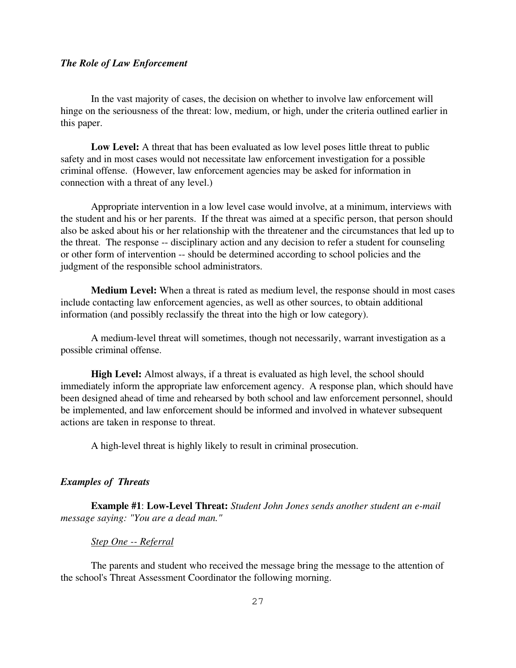#### *The Role of Law Enforcement*

In the vast majority of cases, the decision on whether to involve law enforcement will hinge on the seriousness of the threat: low, medium, or high, under the criteria outlined earlier in this paper.

Low Level: A threat that has been evaluated as low level poses little threat to public safety and in most cases would not necessitate law enforcement investigation for a possible criminal offense. (However, law enforcement agencies may be asked for information in connection with a threat of any level.)

Appropriate intervention in a low level case would involve, at a minimum, interviews with the student and his or her parents. If the threat was aimed at a specific person, that person should also be asked about his or her relationship with the threatener and the circumstances that led up to the threat. The response -- disciplinary action and any decision to refer a student for counseling or other form of intervention -- should be determined according to school policies and the judgment of the responsible school administrators.

**Medium Level:** When a threat is rated as medium level, the response should in most cases include contacting law enforcement agencies, as well as other sources, to obtain additional information (and possibly reclassify the threat into the high or low category).

A medium-level threat will sometimes, though not necessarily, warrant investigation as a possible criminal offense.

**High Level:** Almost always, if a threat is evaluated as high level, the school should immediately inform the appropriate law enforcement agency. A response plan, which should have been designed ahead of time and rehearsed by both school and law enforcement personnel, should be implemented, and law enforcement should be informed and involved in whatever subsequent actions are taken in response to threat.

A high-level threat is highly likely to result in criminal prosecution.

### *Examples of Threats*

**Example #1**: **Low-Level Threat:** *Student John Jones sends another student an e-mail message saying: "You are a dead man."*

#### *Step One -- Referral*

The parents and student who received the message bring the message to the attention of the school's Threat Assessment Coordinator the following morning.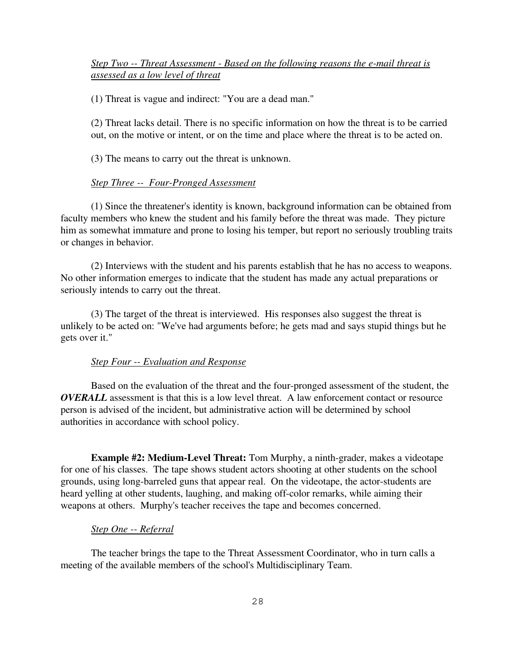## *Step Two -- Threat Assessment - Based on the following reasons the e-mail threat is assessed as a low level of threat*

(1) Threat is vague and indirect: "You are a dead man."

(2) Threat lacks detail. There is no specific information on how the threat is to be carried out, on the motive or intent, or on the time and place where the threat is to be acted on.

(3) The means to carry out the threat is unknown.

#### *Step Three -- Four-Pronged Assessment*

(1) Since the threatener's identity is known, background information can be obtained from faculty members who knew the student and his family before the threat was made. They picture him as somewhat immature and prone to losing his temper, but report no seriously troubling traits or changes in behavior.

(2) Interviews with the student and his parents establish that he has no access to weapons. No other information emerges to indicate that the student has made any actual preparations or seriously intends to carry out the threat.

(3) The target of the threat is interviewed. His responses also suggest the threat is unlikely to be acted on: "We've had arguments before; he gets mad and says stupid things but he gets over it."

#### *Step Four -- Evaluation and Response*

Based on the evaluation of the threat and the four-pronged assessment of the student, the *OVERALL* assessment is that this is a low level threat. A law enforcement contact or resource person is advised of the incident, but administrative action will be determined by school authorities in accordance with school policy.

**Example #2: Medium-Level Threat:** Tom Murphy, a ninth-grader, makes a videotape for one of his classes. The tape shows student actors shooting at other students on the school grounds, using long-barreled guns that appear real. On the videotape, the actor-students are heard yelling at other students, laughing, and making off-color remarks, while aiming their weapons at others. Murphy's teacher receives the tape and becomes concerned.

#### *Step One -- Referral*

The teacher brings the tape to the Threat Assessment Coordinator, who in turn calls a meeting of the available members of the school's Multidisciplinary Team.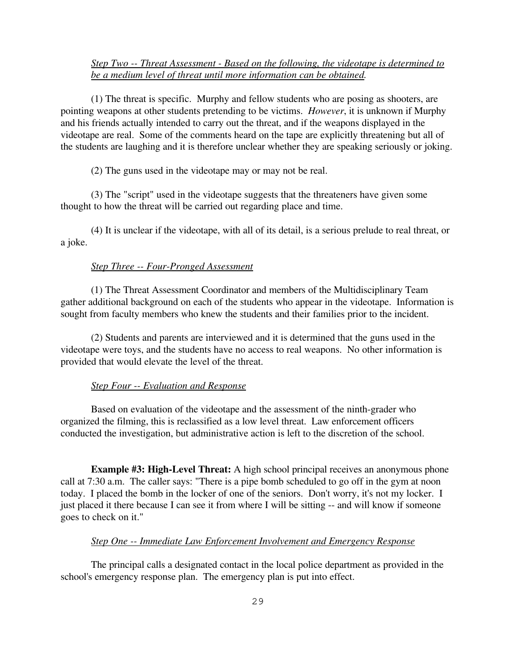## *Step Two -- Threat Assessment - Based on the following, the videotape is determined to be a medium level of threat until more information can be obtained.*

(1) The threat is specific. Murphy and fellow students who are posing as shooters, are pointing weapons at other students pretending to be victims. *However*, it is unknown if Murphy and his friends actually intended to carry out the threat, and if the weapons displayed in the videotape are real. Some of the comments heard on the tape are explicitly threatening but all of the students are laughing and it is therefore unclear whether they are speaking seriously or joking.

(2) The guns used in the videotape may or may not be real.

(3) The "script" used in the videotape suggests that the threateners have given some thought to how the threat will be carried out regarding place and time.

(4) It is unclear if the videotape, with all of its detail, is a serious prelude to real threat, or a joke.

#### *Step Three -- Four-Pronged Assessment*

(1) The Threat Assessment Coordinator and members of the Multidisciplinary Team gather additional background on each of the students who appear in the videotape. Information is sought from faculty members who knew the students and their families prior to the incident.

(2) Students and parents are interviewed and it is determined that the guns used in the videotape were toys, and the students have no access to real weapons. No other information is provided that would elevate the level of the threat.

#### *Step Four -- Evaluation and Response*

Based on evaluation of the videotape and the assessment of the ninth-grader who organized the filming, this is reclassified as a low level threat. Law enforcement officers conducted the investigation, but administrative action is left to the discretion of the school.

**Example #3: High-Level Threat:** A high school principal receives an anonymous phone call at 7:30 a.m. The caller says: "There is a pipe bomb scheduled to go off in the gym at noon today. I placed the bomb in the locker of one of the seniors. Don't worry, it's not my locker. I just placed it there because I can see it from where I will be sitting -- and will know if someone goes to check on it."

#### *Step One -- Immediate Law Enforcement Involvement and Emergency Response*

The principal calls a designated contact in the local police department as provided in the school's emergency response plan. The emergency plan is put into effect.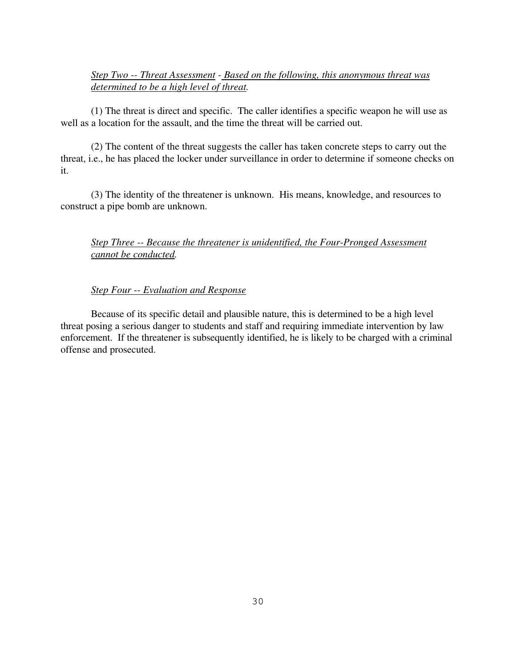## *Step Two -- Threat Assessment - Based on the following, this anonymous threat was determined to be a high level of threat.*

(1) The threat is direct and specific. The caller identifies a specific weapon he will use as well as a location for the assault, and the time the threat will be carried out.

(2) The content of the threat suggests the caller has taken concrete steps to carry out the threat, i.e., he has placed the locker under surveillance in order to determine if someone checks on it.

(3) The identity of the threatener is unknown. His means, knowledge, and resources to construct a pipe bomb are unknown.

*Step Three -- Because the threatener is unidentified, the Four-Pronged Assessment cannot be conducted.*

#### *Step Four -- Evaluation and Response*

Because of its specific detail and plausible nature, this is determined to be a high level threat posing a serious danger to students and staff and requiring immediate intervention by law enforcement. If the threatener is subsequently identified, he is likely to be charged with a criminal offense and prosecuted.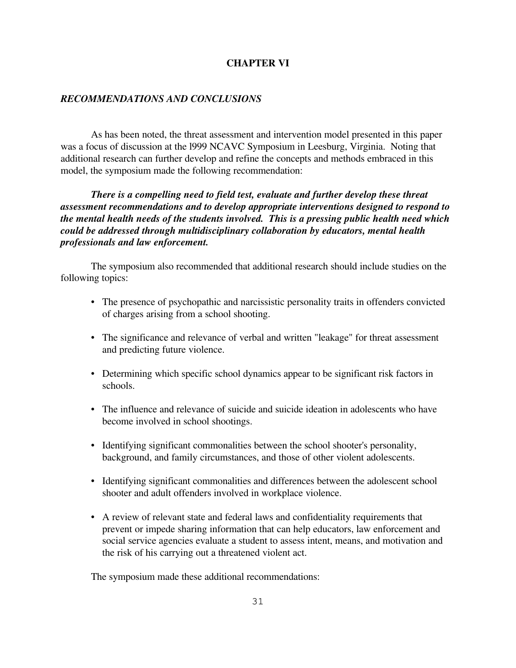## **CHAPTER VI**

## *RECOMMENDATIONS AND CONCLUSIONS*

As has been noted, the threat assessment and intervention model presented in this paper was a focus of discussion at the l999 NCAVC Symposium in Leesburg, Virginia. Noting that additional research can further develop and refine the concepts and methods embraced in this model, the symposium made the following recommendation:

*There is a compelling need to field test, evaluate and further develop these threat assessment recommendations and to develop appropriate interventions designed to respond to the mental health needs of the students involved. This is a pressing public health need which could be addressed through multidisciplinary collaboration by educators, mental health professionals and law enforcement.*

The symposium also recommended that additional research should include studies on the following topics:

- The presence of psychopathic and narcissistic personality traits in offenders convicted of charges arising from a school shooting.
- The significance and relevance of verbal and written "leakage" for threat assessment and predicting future violence.
- Determining which specific school dynamics appear to be significant risk factors in schools.
- The influence and relevance of suicide and suicide ideation in adolescents who have become involved in school shootings.
- Identifying significant commonalities between the school shooter's personality, background, and family circumstances, and those of other violent adolescents.
- Identifying significant commonalities and differences between the adolescent school shooter and adult offenders involved in workplace violence.
- A review of relevant state and federal laws and confidentiality requirements that prevent or impede sharing information that can help educators, law enforcement and social service agencies evaluate a student to assess intent, means, and motivation and the risk of his carrying out a threatened violent act.

The symposium made these additional recommendations: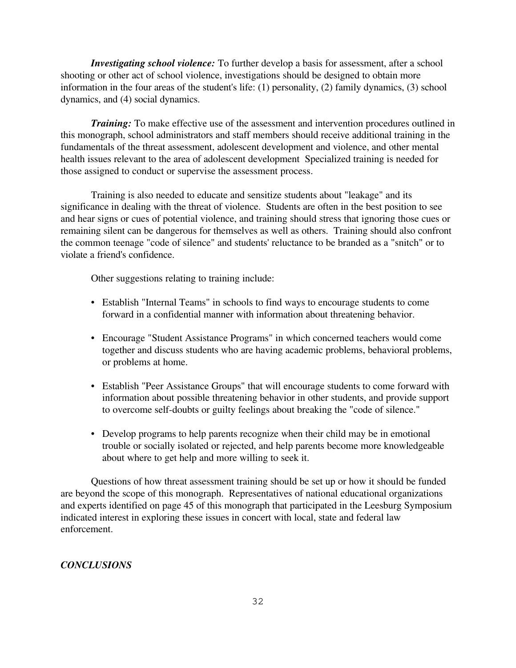*Investigating school violence:* To further develop a basis for assessment, after a school shooting or other act of school violence, investigations should be designed to obtain more information in the four areas of the student's life: (1) personality, (2) family dynamics, (3) school dynamics, and (4) social dynamics.

*Training:* To make effective use of the assessment and intervention procedures outlined in this monograph, school administrators and staff members should receive additional training in the fundamentals of the threat assessment, adolescent development and violence, and other mental health issues relevant to the area of adolescent development Specialized training is needed for those assigned to conduct or supervise the assessment process.

Training is also needed to educate and sensitize students about "leakage" and its significance in dealing with the threat of violence. Students are often in the best position to see and hear signs or cues of potential violence, and training should stress that ignoring those cues or remaining silent can be dangerous for themselves as well as others. Training should also confront the common teenage "code of silence" and students' reluctance to be branded as a "snitch" or to violate a friend's confidence.

Other suggestions relating to training include:

- Establish "Internal Teams" in schools to find ways to encourage students to come forward in a confidential manner with information about threatening behavior.
- Encourage "Student Assistance Programs" in which concerned teachers would come together and discuss students who are having academic problems, behavioral problems, or problems at home.
- Establish "Peer Assistance Groups" that will encourage students to come forward with information about possible threatening behavior in other students, and provide support to overcome self-doubts or guilty feelings about breaking the "code of silence."
- Develop programs to help parents recognize when their child may be in emotional trouble or socially isolated or rejected, and help parents become more knowledgeable about where to get help and more willing to seek it.

Questions of how threat assessment training should be set up or how it should be funded are beyond the scope of this monograph. Representatives of national educational organizations and experts identified on page 45 of this monograph that participated in the Leesburg Symposium indicated interest in exploring these issues in concert with local, state and federal law enforcement.

### *CONCLUSIONS*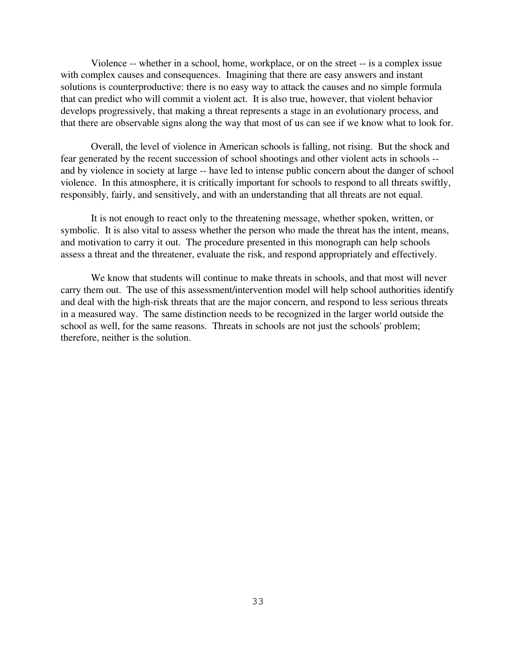Violence -- whether in a school, home, workplace, or on the street -- is a complex issue with complex causes and consequences. Imagining that there are easy answers and instant solutions is counterproductive: there is no easy way to attack the causes and no simple formula that can predict who will commit a violent act. It is also true, however, that violent behavior develops progressively, that making a threat represents a stage in an evolutionary process, and that there are observable signs along the way that most of us can see if we know what to look for.

Overall, the level of violence in American schools is falling, not rising. But the shock and fear generated by the recent succession of school shootings and other violent acts in schools - and by violence in society at large -- have led to intense public concern about the danger of school violence. In this atmosphere, it is critically important for schools to respond to all threats swiftly, responsibly, fairly, and sensitively, and with an understanding that all threats are not equal.

It is not enough to react only to the threatening message, whether spoken, written, or symbolic. It is also vital to assess whether the person who made the threat has the intent, means, and motivation to carry it out. The procedure presented in this monograph can help schools assess a threat and the threatener, evaluate the risk, and respond appropriately and effectively.

We know that students will continue to make threats in schools, and that most will never carry them out. The use of this assessment/intervention model will help school authorities identify and deal with the high-risk threats that are the major concern, and respond to less serious threats in a measured way. The same distinction needs to be recognized in the larger world outside the school as well, for the same reasons. Threats in schools are not just the schools' problem; therefore, neither is the solution.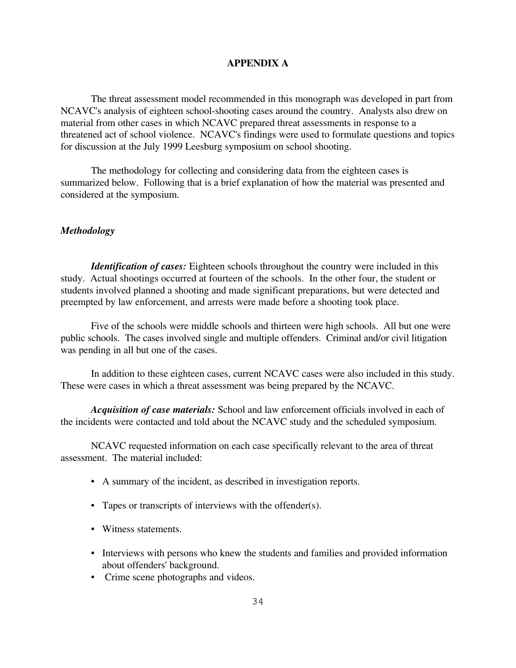#### **APPENDIX A**

The threat assessment model recommended in this monograph was developed in part from NCAVC's analysis of eighteen school-shooting cases around the country. Analysts also drew on material from other cases in which NCAVC prepared threat assessments in response to a threatened act of school violence. NCAVC's findings were used to formulate questions and topics for discussion at the July 1999 Leesburg symposium on school shooting.

The methodology for collecting and considering data from the eighteen cases is summarized below. Following that is a brief explanation of how the material was presented and considered at the symposium.

#### *Methodology*

*Identification of cases:* Eighteen schools throughout the country were included in this study. Actual shootings occurred at fourteen of the schools. In the other four, the student or students involved planned a shooting and made significant preparations, but were detected and preempted by law enforcement, and arrests were made before a shooting took place.

Five of the schools were middle schools and thirteen were high schools. All but one were public schools. The cases involved single and multiple offenders. Criminal and/or civil litigation was pending in all but one of the cases.

In addition to these eighteen cases, current NCAVC cases were also included in this study. These were cases in which a threat assessment was being prepared by the NCAVC.

*Acquisition of case materials:* School and law enforcement officials involved in each of the incidents were contacted and told about the NCAVC study and the scheduled symposium.

NCAVC requested information on each case specifically relevant to the area of threat assessment. The material included:

- A summary of the incident, as described in investigation reports.
- Tapes or transcripts of interviews with the offender(s).
- Witness statements.
- Interviews with persons who knew the students and families and provided information about offenders' background.
- Crime scene photographs and videos.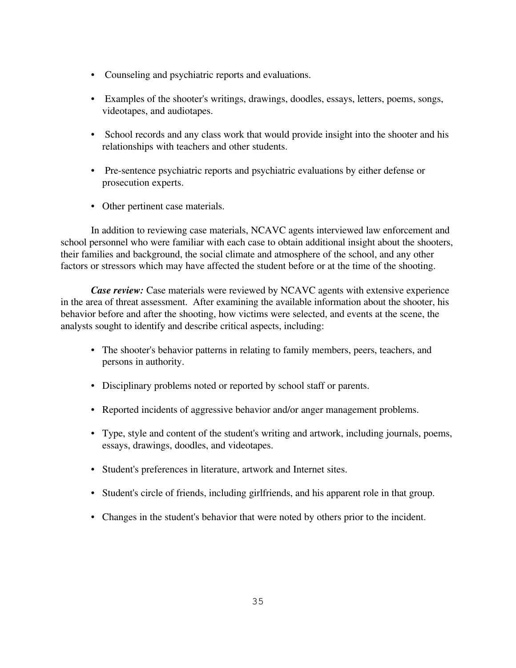- Counseling and psychiatric reports and evaluations.
- Examples of the shooter's writings, drawings, doodles, essays, letters, poems, songs, videotapes, and audiotapes.
- School records and any class work that would provide insight into the shooter and his relationships with teachers and other students.
- Pre-sentence psychiatric reports and psychiatric evaluations by either defense or prosecution experts.
- Other pertinent case materials.

In addition to reviewing case materials, NCAVC agents interviewed law enforcement and school personnel who were familiar with each case to obtain additional insight about the shooters, their families and background, the social climate and atmosphere of the school, and any other factors or stressors which may have affected the student before or at the time of the shooting.

*Case review:* Case materials were reviewed by NCAVC agents with extensive experience in the area of threat assessment. After examining the available information about the shooter, his behavior before and after the shooting, how victims were selected, and events at the scene, the analysts sought to identify and describe critical aspects, including:

- The shooter's behavior patterns in relating to family members, peers, teachers, and persons in authority.
- Disciplinary problems noted or reported by school staff or parents.
- Reported incidents of aggressive behavior and/or anger management problems.
- Type, style and content of the student's writing and artwork, including journals, poems, essays, drawings, doodles, and videotapes.
- Student's preferences in literature, artwork and Internet sites.
- Student's circle of friends, including girlfriends, and his apparent role in that group.
- Changes in the student's behavior that were noted by others prior to the incident.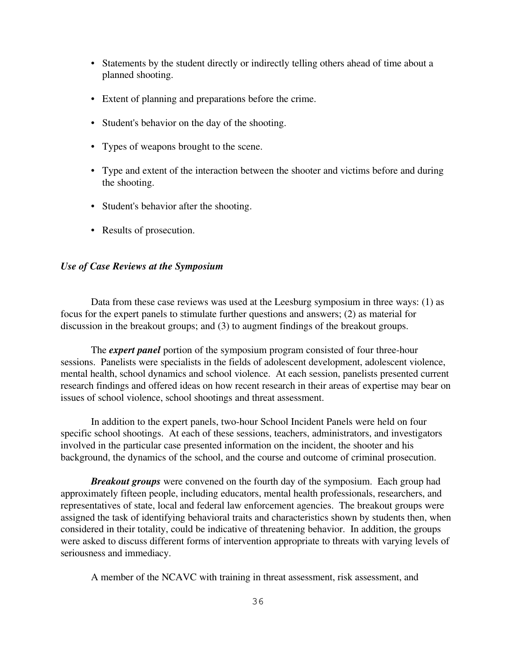- Statements by the student directly or indirectly telling others ahead of time about a planned shooting.
- Extent of planning and preparations before the crime.
- Student's behavior on the day of the shooting.
- Types of weapons brought to the scene.
- Type and extent of the interaction between the shooter and victims before and during the shooting.
- Student's behavior after the shooting.
- Results of prosecution.

#### *Use of Case Reviews at the Symposium*

Data from these case reviews was used at the Leesburg symposium in three ways: (1) as focus for the expert panels to stimulate further questions and answers; (2) as material for discussion in the breakout groups; and (3) to augment findings of the breakout groups.

The *expert panel* portion of the symposium program consisted of four three-hour sessions. Panelists were specialists in the fields of adolescent development, adolescent violence, mental health, school dynamics and school violence. At each session, panelists presented current research findings and offered ideas on how recent research in their areas of expertise may bear on issues of school violence, school shootings and threat assessment.

In addition to the expert panels, two-hour School Incident Panels were held on four specific school shootings. At each of these sessions, teachers, administrators, and investigators involved in the particular case presented information on the incident, the shooter and his background, the dynamics of the school, and the course and outcome of criminal prosecution.

*Breakout groups* were convened on the fourth day of the symposium. Each group had approximately fifteen people, including educators, mental health professionals, researchers, and representatives of state, local and federal law enforcement agencies. The breakout groups were assigned the task of identifying behavioral traits and characteristics shown by students then, when considered in their totality, could be indicative of threatening behavior. In addition, the groups were asked to discuss different forms of intervention appropriate to threats with varying levels of seriousness and immediacy.

A member of the NCAVC with training in threat assessment, risk assessment, and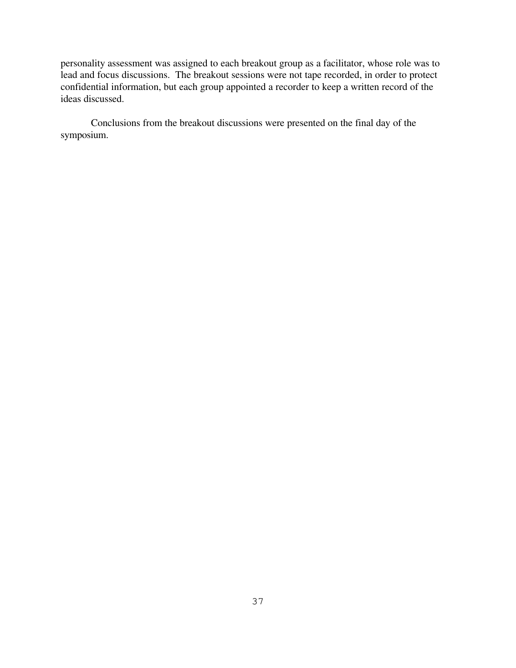personality assessment was assigned to each breakout group as a facilitator, whose role was to lead and focus discussions. The breakout sessions were not tape recorded, in order to protect confidential information, but each group appointed a recorder to keep a written record of the ideas discussed.

Conclusions from the breakout discussions were presented on the final day of the symposium.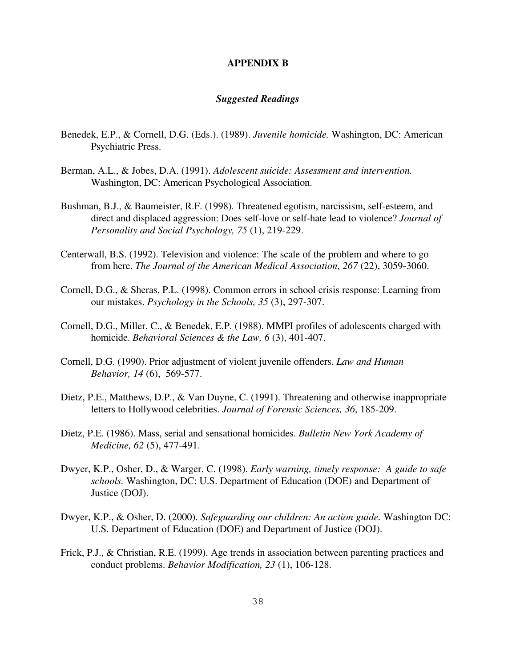#### **APPENDIX B**

#### *Suggested Readings*

- Benedek, E.P., & Cornell, D.G. (Eds.). (1989). *Juvenile homicide.* Washington, DC: American Psychiatric Press.
- Berman, A.L., & Jobes, D.A. (1991). *Adolescent suicide: Assessment and intervention.* Washington, DC: American Psychological Association.
- Bushman, B.J., & Baumeister, R.F. (1998). Threatened egotism, narcissism, self-esteem, and direct and displaced aggression: Does self-love or self-hate lead to violence? *Journal of Personality and Social Psychology, 75* (1), 219-229.
- Centerwall, B.S. (1992). Television and violence: The scale of the problem and where to go from here. *The Journal of the American Medical Association*, *267* (22), 3059-3060.
- Cornell, D.G., & Sheras, P.L. (1998). Common errors in school crisis response: Learning from our mistakes. *Psychology in the Schools, 35* (3), 297-307.
- Cornell, D.G., Miller, C., & Benedek, E.P. (1988). MMPI profiles of adolescents charged with homicide. *Behavioral Sciences & the Law, 6* (3), 401-407.
- Cornell, D.G. (1990). Prior adjustment of violent juvenile offenders. *Law and Human Behavior, 14* (6), 569-577.
- Dietz, P.E., Matthews, D.P., & Van Duyne, C. (1991). Threatening and otherwise inappropriate letters to Hollywood celebrities. *Journal of Forensic Sciences, 36*, 185-209.
- Dietz, P.E. (1986). Mass, serial and sensational homicides. *Bulletin New York Academy of Medicine, 62* (5), 477-491.
- Dwyer, K.P., Osher, D., & Warger, C. (1998). *Early warning, timely response: A guide to safe schools.* Washington, DC: U.S. Department of Education (DOE) and Department of Justice (DOJ).
- Dwyer, K.P., & Osher, D. (2000). *Safeguarding our children: An action guide.* Washington DC: U.S. Department of Education (DOE) and Department of Justice (DOJ).
- Frick, P.J., & Christian, R.E. (1999). Age trends in association between parenting practices and conduct problems. *Behavior Modification, 23* (1), 106-128.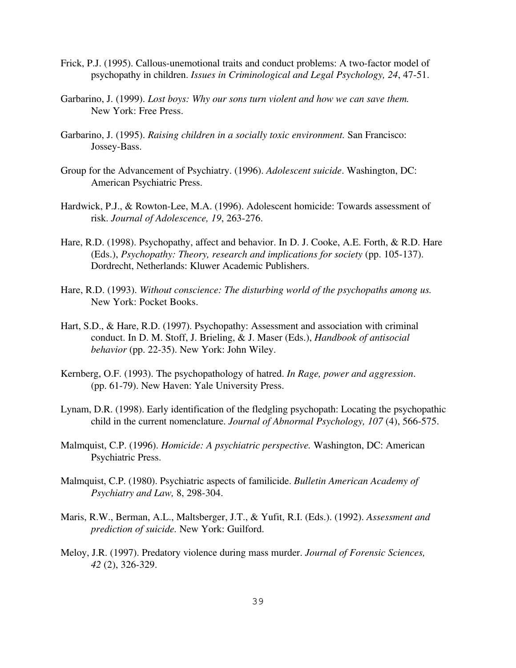- Frick, P.J. (1995). Callous-unemotional traits and conduct problems: A two-factor model of psychopathy in children. *Issues in Criminological and Legal Psychology, 24*, 47-51.
- Garbarino, J. (1999). *Lost boys: Why our sons turn violent and how we can save them.* New York: Free Press.
- Garbarino, J. (1995). *Raising children in a socially toxic environment.* San Francisco: Jossey-Bass.
- Group for the Advancement of Psychiatry. (1996). *Adolescent suicide*. Washington, DC: American Psychiatric Press.
- Hardwick, P.J., & Rowton-Lee, M.A. (1996). Adolescent homicide: Towards assessment of risk. *Journal of Adolescence, 19*, 263-276.
- Hare, R.D. (1998). Psychopathy, affect and behavior. In D. J. Cooke, A.E. Forth, & R.D. Hare (Eds.), *Psychopathy: Theory, research and implications for society* (pp. 105-137). Dordrecht, Netherlands: Kluwer Academic Publishers.
- Hare, R.D. (1993). *Without conscience: The disturbing world of the psychopaths among us.* New York: Pocket Books.
- Hart, S.D., & Hare, R.D. (1997). Psychopathy: Assessment and association with criminal conduct. In D. M. Stoff, J. Brieling, & J. Maser (Eds.), *Handbook of antisocial behavior* (pp. 22-35). New York: John Wiley.
- Kernberg, O.F. (1993). The psychopathology of hatred. *In Rage, power and aggression*. (pp. 61-79). New Haven: Yale University Press.
- Lynam, D.R. (1998). Early identification of the fledgling psychopath: Locating the psychopathic child in the current nomenclature. *Journal of Abnormal Psychology, 107* (4), 566-575.
- Malmquist, C.P. (1996). *Homicide: A psychiatric perspective.* Washington, DC: American Psychiatric Press.
- Malmquist, C.P. (1980). Psychiatric aspects of familicide. *Bulletin American Academy of Psychiatry and Law,* 8, 298-304.
- Maris, R.W., Berman, A.L., Maltsberger, J.T., & Yufit, R.I. (Eds.). (1992). *Assessment and prediction of suicide.* New York: Guilford.
- Meloy, J.R. (1997). Predatory violence during mass murder. *Journal of Forensic Sciences, 42* (2), 326-329.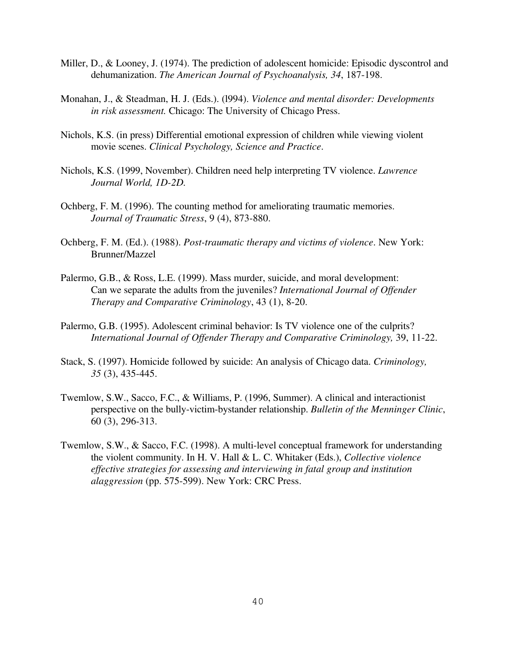- Miller, D., & Looney, J. (1974). The prediction of adolescent homicide: Episodic dyscontrol and dehumanization. *The American Journal of Psychoanalysis, 34*, 187-198.
- Monahan, J., & Steadman, H. J. (Eds.). (l994). *Violence and mental disorder: Developments in risk assessment.* Chicago: The University of Chicago Press.
- Nichols, K.S. (in press) Differential emotional expression of children while viewing violent movie scenes. *Clinical Psychology, Science and Practice*.
- Nichols, K.S. (1999, November). Children need help interpreting TV violence. *Lawrence Journal World, 1D-2D.*
- Ochberg, F. M. (1996). The counting method for ameliorating traumatic memories. *Journal of Traumatic Stress*, 9 (4), 873-880.
- Ochberg, F. M. (Ed.). (1988). *Post-traumatic therapy and victims of violence*. New York: Brunner/Mazzel
- Palermo, G.B., & Ross, L.E. (1999). Mass murder, suicide, and moral development: Can we separate the adults from the juveniles? *International Journal of Offender Therapy and Comparative Criminology*, 43 (1), 8-20.
- Palermo, G.B. (1995). Adolescent criminal behavior: Is TV violence one of the culprits? *International Journal of Offender Therapy and Comparative Criminology,* 39, 11-22.
- Stack, S. (1997). Homicide followed by suicide: An analysis of Chicago data. *Criminology, 35* (3), 435-445.
- Twemlow, S.W., Sacco, F.C., & Williams, P. (1996, Summer). A clinical and interactionist perspective on the bully-victim-bystander relationship. *Bulletin of the Menninger Clinic*, 60 (3), 296-313.
- Twemlow, S.W., & Sacco, F.C. (1998). A multi-level conceptual framework for understanding the violent community. In H. V. Hall & L. C. Whitaker (Eds.), *Collective violence effective strategies for assessing and interviewing in fatal group and institution alaggression* (pp. 575-599). New York: CRC Press.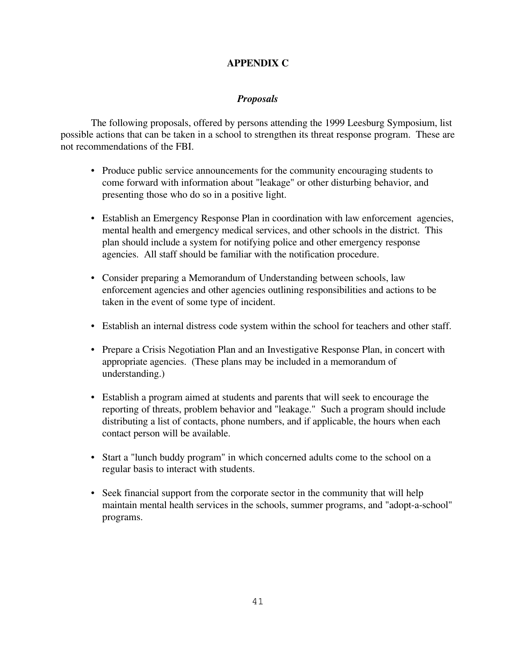## **APPENDIX C**

## *Proposals*

The following proposals, offered by persons attending the 1999 Leesburg Symposium, list possible actions that can be taken in a school to strengthen its threat response program. These are not recommendations of the FBI.

- Produce public service announcements for the community encouraging students to come forward with information about "leakage" or other disturbing behavior, and presenting those who do so in a positive light.
- Establish an Emergency Response Plan in coordination with law enforcement agencies, mental health and emergency medical services, and other schools in the district. This plan should include a system for notifying police and other emergency response agencies. All staff should be familiar with the notification procedure.
- Consider preparing a Memorandum of Understanding between schools, law enforcement agencies and other agencies outlining responsibilities and actions to be taken in the event of some type of incident.
- Establish an internal distress code system within the school for teachers and other staff.
- Prepare a Crisis Negotiation Plan and an Investigative Response Plan, in concert with appropriate agencies. (These plans may be included in a memorandum of understanding.)
- Establish a program aimed at students and parents that will seek to encourage the reporting of threats, problem behavior and "leakage." Such a program should include distributing a list of contacts, phone numbers, and if applicable, the hours when each contact person will be available.
- Start a "lunch buddy program" in which concerned adults come to the school on a regular basis to interact with students.
- Seek financial support from the corporate sector in the community that will help maintain mental health services in the schools, summer programs, and "adopt-a-school" programs.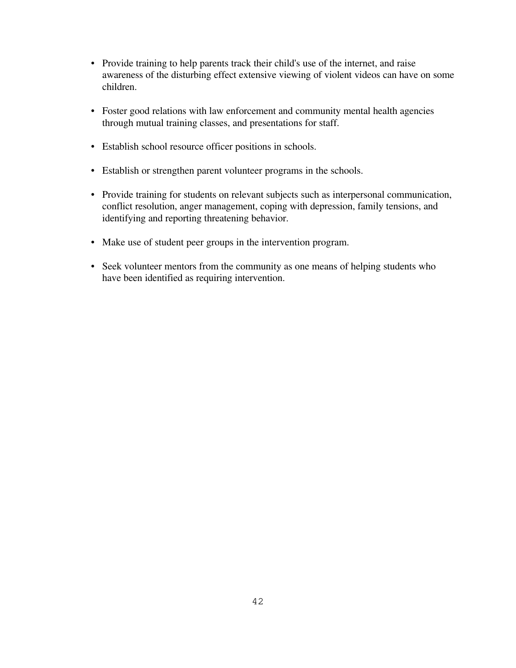- Provide training to help parents track their child's use of the internet, and raise awareness of the disturbing effect extensive viewing of violent videos can have on some children.
- Foster good relations with law enforcement and community mental health agencies through mutual training classes, and presentations for staff.
- Establish school resource officer positions in schools.
- Establish or strengthen parent volunteer programs in the schools.
- Provide training for students on relevant subjects such as interpersonal communication, conflict resolution, anger management, coping with depression, family tensions, and identifying and reporting threatening behavior.
- Make use of student peer groups in the intervention program.
- Seek volunteer mentors from the community as one means of helping students who have been identified as requiring intervention.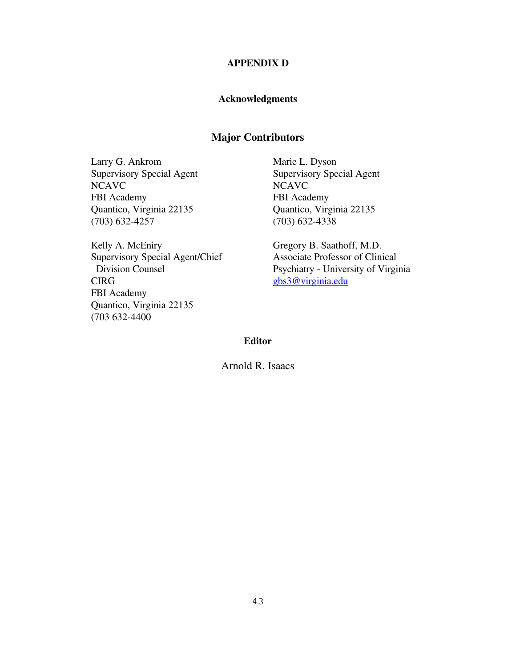#### **APPENDIX D**

## **Acknowledgments**

## **Major Contributors**

Larry G. Ankrom Marie L. Dyson Supervisory Special Agent Supervisory Special Agent NCAVC NCAVC FBI Academy<br>
Cuantico, Virginia 22135<br>
Cuantico, Virginia 22135<br>
Cuantico, Virginia 22135 Quantico, Virginia 22135 Quantico, Virginia 22135 (703) 632-4257 (703) 632-4338

Kelly A. McEniry Gregory B. Saathoff, M.D. Supervisory Special Agent/Chief Associate Professor of Clinical CIRG gbs3@virginia.edu FBI Academy Quantico, Virginia 22135 (703 632-4400

Division Counsel Psychiatry - University of Virginia

### **Editor**

Arnold R. Isaacs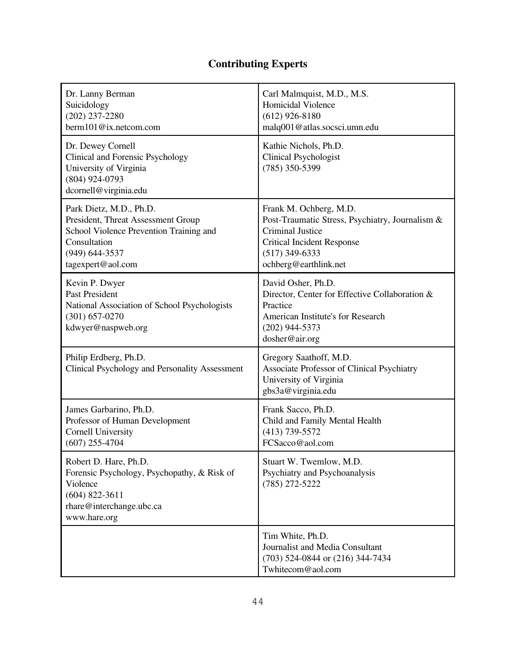# **Contributing Experts**

| Dr. Lanny Berman<br>Suicidology<br>$(202)$ 237-2280<br>berm101@ix.netcom.com                                                                                    | Carl Malmquist, M.D., M.S.<br><b>Homicidal Violence</b><br>$(612)$ 926-8180<br>malq001@atlas.socsci.umn.edu                                                                            |
|-----------------------------------------------------------------------------------------------------------------------------------------------------------------|----------------------------------------------------------------------------------------------------------------------------------------------------------------------------------------|
| Dr. Dewey Cornell<br>Clinical and Forensic Psychology<br>University of Virginia<br>$(804)$ 924-0793<br>dcornell@virginia.edu                                    | Kathie Nichols, Ph.D.<br><b>Clinical Psychologist</b><br>$(785)$ 350-5399                                                                                                              |
| Park Dietz, M.D., Ph.D.<br>President, Threat Assessment Group<br>School Violence Prevention Training and<br>Consultation<br>(949) 644-3537<br>tagexpert@aol.com | Frank M. Ochberg, M.D.<br>Post-Traumatic Stress, Psychiatry, Journalism &<br><b>Criminal Justice</b><br><b>Critical Incident Response</b><br>$(517)$ 349-6333<br>ochberg@earthlink.net |
| Kevin P. Dwyer<br>Past President<br>National Association of School Psychologists<br>$(301) 657 - 0270$<br>kdwyer@naspweb.org                                    | David Osher, Ph.D.<br>Director, Center for Effective Collaboration &<br>Practice<br>American Institute's for Research<br>$(202)$ 944-5373<br>dosher@air.org                            |
| Philip Erdberg, Ph.D.<br>Clinical Psychology and Personality Assessment                                                                                         | Gregory Saathoff, M.D.<br>Associate Professor of Clinical Psychiatry<br>University of Virginia<br>gbs3a@virginia.edu                                                                   |
| James Garbarino, Ph.D.<br>Professor of Human Development<br><b>Cornell University</b><br>$(607)$ 255-4704                                                       | Frank Sacco, Ph.D.<br>Child and Family Mental Health<br>$(413)$ 739-5572<br>FCSacco@aol.com                                                                                            |
| Robert D. Hare, Ph.D.<br>Forensic Psychology, Psychopathy, & Risk of<br>Violence<br>$(604)$ 822-3611<br>rhare@interchange.ubc.ca<br>www.hare.org                | Stuart W. Twemlow, M.D.<br>Psychiatry and Psychoanalysis<br>$(785)$ 272-5222                                                                                                           |
|                                                                                                                                                                 | Tim White, Ph.D.<br>Journalist and Media Consultant<br>(703) 524-0844 or (216) 344-7434<br>Twhitecom@aol.com                                                                           |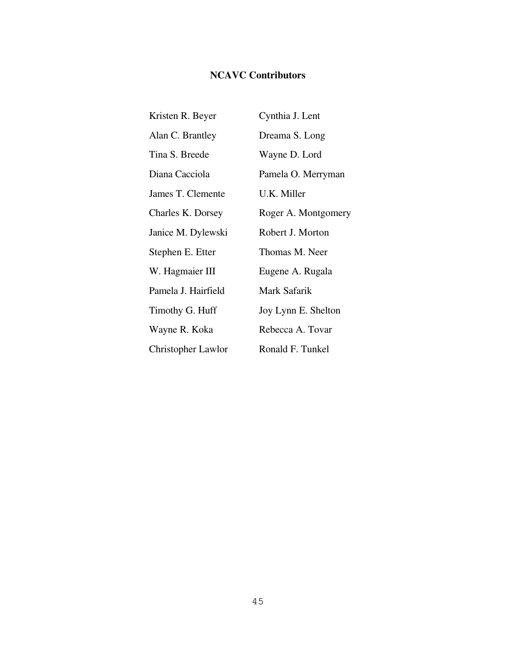## **NCAVC Contributors**

| Kristen R. Beyer          | Cynthia J. Lent     |
|---------------------------|---------------------|
| Alan C. Brantley          | Dreama S. Long      |
| Tina S. Breede            | Wayne D. Lord       |
| Diana Cacciola            | Pamela O. Merryman  |
| James T. Clemente         | U.K. Miller         |
| Charles K. Dorsey         | Roger A. Montgomery |
| Janice M. Dylewski        | Robert J. Morton    |
| Stephen E. Etter          | Thomas M. Neer      |
| W. Hagmaier III           | Eugene A. Rugala    |
| Pamela J. Hairfield       | Mark Safarik        |
| Timothy G. Huff           | Joy Lynn E. Shelton |
| Wayne R. Koka             | Rebecca A. Tovar    |
| <b>Christopher Lawlor</b> | Ronald F. Tunkel    |